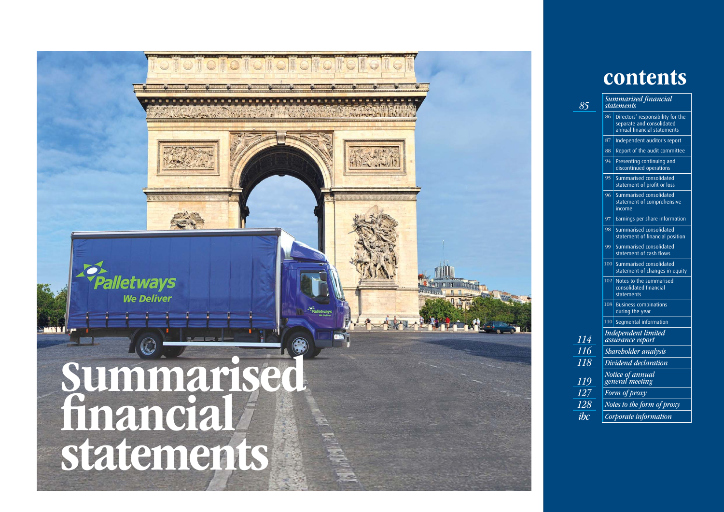# contents

|     | <b>Summarised financial</b><br>statements                                                     |
|-----|-----------------------------------------------------------------------------------------------|
| 86  | Directors' responsibility for the<br>separate and consolidated<br>annual financial statements |
| 87  | Independent auditor's report                                                                  |
| 88  | Report of the audit committee                                                                 |
| 94  | Presenting continuing and<br>discontinued operations                                          |
| 95  | Summarised consolidated<br>statement of profit or loss                                        |
| 96  | Summarised consolidated<br>statement of comprehensive<br>income                               |
| 97  | Earnings per share information                                                                |
| 98  | Summarised consolidated<br>statement of financial position                                    |
| 99  | Summarised consolidated<br>statement of cash flows                                            |
| 100 | Summarised consolidated<br>statement of changes in equity                                     |
| 102 | Notes to the summarised<br>consolidated financial<br>statements                               |
| 108 | <b>Business combinations</b><br>during the year                                               |
| 110 | Segmental information                                                                         |
|     | Independent limited<br>assurance report                                                       |
|     | Shareholder analysis                                                                          |
|     | Dividend declaration                                                                          |
|     | Notice of annual<br>general <sup>e</sup> mee <u>ting</u>                                      |
|     | Form of proxy                                                                                 |
|     | Notes to the form of proxy                                                                    |
|     | Corporate information                                                                         |

85

$$
\frac{114}{116}
$$
\n
$$
\frac{119}{127}
$$
\n
$$
\frac{127}{128}
$$
\n*ibc*

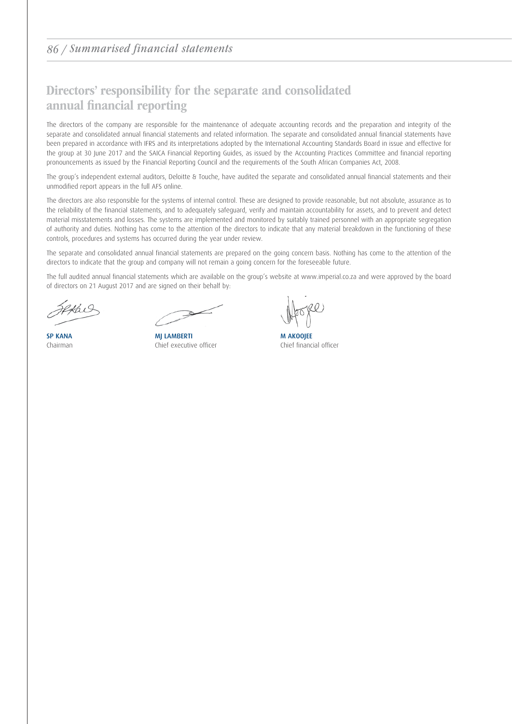### 86 / Summarised financial statements

### Directors' responsibility for the separate and consolidated annual financial reporting

The directors of the company are responsible for the maintenance of adequate accounting records and the preparation and integrity of the separate and consolidated annual financial statements and related information. The separate and consolidated annual financial statements have been prepared in accordance with IFRS and its interpretations adopted by the International Accounting Standards Board in issue and effective for the group at 30 June 2017 and the SAICA Financial Reporting Guides, as issued by the Accounting Practices Committee and financial reporting pronouncements as issued by the Financial Reporting Council and the requirements of the South African Companies Act, 2008.

The group's independent external auditors, Deloitte & Touche, have audited the separate and consolidated annual financial statements and their unmodified report appears in the full AFS online.

The directors are also responsible for the systems of internal control. These are designed to provide reasonable, but not absolute, assurance as to the reliability of the financial statements, and to adequately safeguard, verify and maintain accountability for assets, and to prevent and detect material misstatements and losses. The systems are implemented and monitored by suitably trained personnel with an appropriate segregation of authority and duties. Nothing has come to the attention of the directors to indicate that any material breakdown in the functioning of these controls, procedures and systems has occurred during the year under review.

The separate and consolidated annual financial statements are prepared on the going concern basis. Nothing has come to the attention of the directors to indicate that the group and company will not remain a going concern for the foreseeable future.

The full audited annual financial statements which are available on the group's website at www.imperial.co.za and were approved by the board of directors on 21 August 2017 and are signed on their behalf by:

 $\Rightarrow$ 

SP KANA MJ LAMBERTI MATHEMATIC MAKOOJEE Chairman Chief executive officer Chief financial officer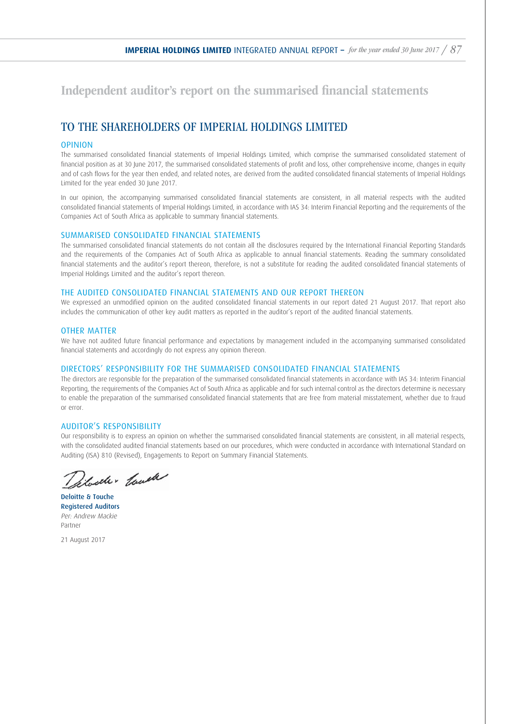Independent auditor's report on the summarised financial statements

### TO THE SHAREHOLDERS OF IMPERIAL HOLDINGS LIMITED

### OPINION

The summarised consolidated financial statements of Imperial Holdings Limited, which comprise the summarised consolidated statement of financial position as at 30 June 2017, the summarised consolidated statements of profit and loss, other comprehensive income, changes in equity and of cash flows for the year then ended, and related notes, are derived from the audited consolidated financial statements of Imperial Holdings Limited for the year ended 30 June 2017.

In our opinion, the accompanying summarised consolidated financial statements are consistent, in all material respects with the audited consolidated financial statements of Imperial Holdings Limited, in accordance with IAS 34: Interim Financial Reporting and the requirements of the Companies Act of South Africa as applicable to summary financial statements.

### SUMMARISED CONSOLIDATED FINANCIAL STATEMENTS

The summarised consolidated financial statements do not contain all the disclosures required by the International Financial Reporting Standards and the requirements of the Companies Act of South Africa as applicable to annual financial statements. Reading the summary consolidated financial statements and the auditor's report thereon, therefore, is not a substitute for reading the audited consolidated financial statements of Imperial Holdings Limited and the auditor's report thereon.

#### THE AUDITED CONSOLIDATED FINANCIAL STATEMENTS AND OUR REPORT THEREON

We expressed an unmodified opinion on the audited consolidated financial statements in our report dated 21 August 2017. That report also includes the communication of other key audit matters as reported in the auditor's report of the audited financial statements.

#### OTHER MATTER

We have not audited future financial performance and expectations by management included in the accompanying summarised consolidated financial statements and accordingly do not express any opinion thereon.

#### DIRECTORS' RESPONSIBILITY FOR THE SUMMARISED CONSOLIDATED FINANCIAL STATEMENTS

The directors are responsible for the preparation of the summarised consolidated financial statements in accordance with IAS 34: Interim Financial Reporting, the requirements of the Companies Act of South Africa as applicable and for such internal control as the directors determine is necessary to enable the preparation of the summarised consolidated financial statements that are free from material misstatement, whether due to fraud or error.

#### AUDITOR'S RESPONSIBILITY

Our responsibility is to express an opinion on whether the summarised consolidated financial statements are consistent, in all material respects, with the consolidated audited financial statements based on our procedures, which were conducted in accordance with International Standard on Auditing (ISA) 810 (Revised), Engagements to Report on Summary Financial Statements.

Selveler Could

Deloitte & Touche Registered Auditors Per: Andrew Mackie Partner

21 August 2017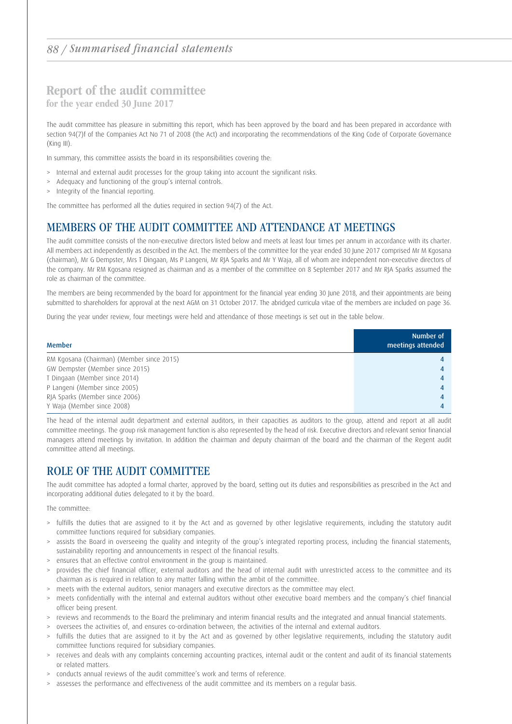### Report of the audit committee

for the year ended 30 June 2017

The audit committee has pleasure in submitting this report, which has been approved by the board and has been prepared in accordance with section 94(7)f of the Companies Act No 71 of 2008 (the Act) and incorporating the recommendations of the King Code of Corporate Governance (King III).

In summary, this committee assists the board in its responsibilities covering the:

- > Internal and external audit processes for the group taking into account the significant risks.
- Adequacy and functioning of the group's internal controls.
- > Integrity of the financial reporting.

The committee has performed all the duties required in section 94(7) of the Act.

### MEMBERS OF THE AUDIT COMMITTEE AND ATTENDANCE AT MEETINGS

The audit committee consists of the non-executive directors listed below and meets at least four times per annum in accordance with its charter. All members act independently as described in the Act. The members of the committee for the year ended 30 June 2017 comprised Mr M Kgosana (chairman), Mr G Dempster, Mrs T Dingaan, Ms P Langeni, Mr RJA Sparks and Mr Y Waja, all of whom are independent non-executive directors of the company. Mr RM Kgosana resigned as chairman and as a member of the committee on 8 September 2017 and Mr RJA Sparks assumed the role as chairman of the committee.

The members are being recommended by the board for appointment for the financial year ending 30 June 2018, and their appointments are being submitted to shareholders for approval at the next AGM on 31 October 2017. The abridged curricula vitae of the members are included on page 36.

During the year under review, four meetings were held and attendance of those meetings is set out in the table below.

| Member                                    | Number of<br>meetings attended |
|-------------------------------------------|--------------------------------|
| RM Kgosana (Chairman) (Member since 2015) |                                |
| GW Dempster (Member since 2015)           |                                |
| T Dingaan (Member since 2014)             |                                |
| P Langeni (Member since 2005)             |                                |
| RJA Sparks (Member since 2006)            |                                |
| Y Waja (Member since 2008)                |                                |

The head of the internal audit department and external auditors, in their capacities as auditors to the group, attend and report at all audit committee meetings. The group risk management function is also represented by the head of risk. Executive directors and relevant senior financial managers attend meetings by invitation. In addition the chairman and deputy chairman of the board and the chairman of the Regent audit committee attend all meetings.

### ROLE OF THE AUDIT COMMITTEE

The audit committee has adopted a formal charter, approved by the board, setting out its duties and responsibilities as prescribed in the Act and incorporating additional duties delegated to it by the board.

The committee:

- > fulfills the duties that are assigned to it by the Act and as governed by other legislative requirements, including the statutory audit committee functions required for subsidiary companies.
- > assists the Board in overseeing the quality and integrity of the group's integrated reporting process, including the financial statements, sustainability reporting and announcements in respect of the financial results.
- > ensures that an effective control environment in the group is maintained.
- > provides the chief financial officer, external auditors and the head of internal audit with unrestricted access to the committee and its chairman as is required in relation to any matter falling within the ambit of the committee.
- > meets with the external auditors, senior managers and executive directors as the committee may elect.
- > meets confidentially with the internal and external auditors without other executive board members and the company's chief financial officer being present.
- > reviews and recommends to the Board the preliminary and interim financial results and the integrated and annual financial statements.
- > oversees the activities of, and ensures co-ordination between, the activities of the internal and external auditors.
- fulfills the duties that are assigned to it by the Act and as governed by other legislative requirements, including the statutory audit committee functions required for subsidiary companies.
- > receives and deals with any complaints concerning accounting practices, internal audit or the content and audit of its financial statements or related matters.
- > conducts annual reviews of the audit committee's work and terms of reference.
- > assesses the performance and effectiveness of the audit committee and its members on a regular basis.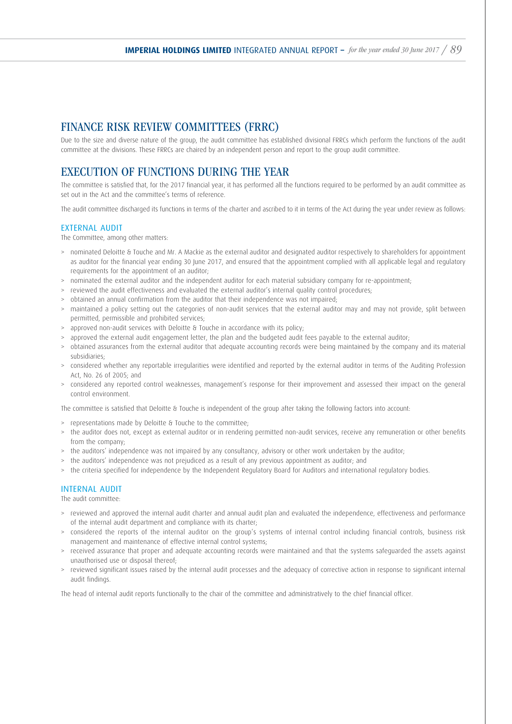### FINANCE RISK REVIEW COMMITTEES (FRRC)

Due to the size and diverse nature of the group, the audit committee has established divisional FRRCs which perform the functions of the audit committee at the divisions. These FRRCs are chaired by an independent person and report to the group audit committee.

### EXECUTION OF FUNCTIONS DURING THE YEAR

The committee is satisfied that, for the 2017 financial year, it has performed all the functions required to be performed by an audit committee as set out in the Act and the committee's terms of reference.

The audit committee discharged its functions in terms of the charter and ascribed to it in terms of the Act during the year under review as follows:

### EXTERNAL AUDIT

The Committee, among other matters:

- > nominated Deloitte & Touche and Mr. A Mackie as the external auditor and designated auditor respectively to shareholders for appointment as auditor for the financial year ending 30 June 2017, and ensured that the appointment complied with all applicable legal and regulatory requirements for the appointment of an auditor;
- > nominated the external auditor and the independent auditor for each material subsidiary company for re-appointment;
- > reviewed the audit effectiveness and evaluated the external auditor's internal quality control procedures;
- > obtained an annual confirmation from the auditor that their independence was not impaired;
- > maintained a policy setting out the categories of non-audit services that the external auditor may and may not provide, split between permitted, permissible and prohibited services;
- > approved non-audit services with Deloitte & Touche in accordance with its policy;
- > approved the external audit engagement letter, the plan and the budgeted audit fees payable to the external auditor;
- > obtained assurances from the external auditor that adequate accounting records were being maintained by the company and its material subsidiaries;
- > considered whether any reportable irregularities were identified and reported by the external auditor in terms of the Auditing Profession Act, No. 26 of 2005; and
- > considered any reported control weaknesses, management's response for their improvement and assessed their impact on the general control environment.

The committee is satisfied that Deloitte & Touche is independent of the group after taking the following factors into account:

- > representations made by Deloitte & Touche to the committee;
- > the auditor does not, except as external auditor or in rendering permitted non-audit services, receive any remuneration or other benefits from the company;
- > the auditors' independence was not impaired by any consultancy, advisory or other work undertaken by the auditor;
- > the auditors' independence was not prejudiced as a result of any previous appointment as auditor; and
- > the criteria specified for independence by the Independent Regulatory Board for Auditors and international regulatory bodies.

### INTERNAL AUDIT

The audit committee:

- > reviewed and approved the internal audit charter and annual audit plan and evaluated the independence, effectiveness and performance of the internal audit department and compliance with its charter;
- > considered the reports of the internal auditor on the group's systems of internal control including financial controls, business risk management and maintenance of effective internal control systems;
- > received assurance that proper and adequate accounting records were maintained and that the systems safeguarded the assets against unauthorised use or disposal thereof;
- > reviewed significant issues raised by the internal audit processes and the adequacy of corrective action in response to significant internal audit findings.

The head of internal audit reports functionally to the chair of the committee and administratively to the chief financial officer.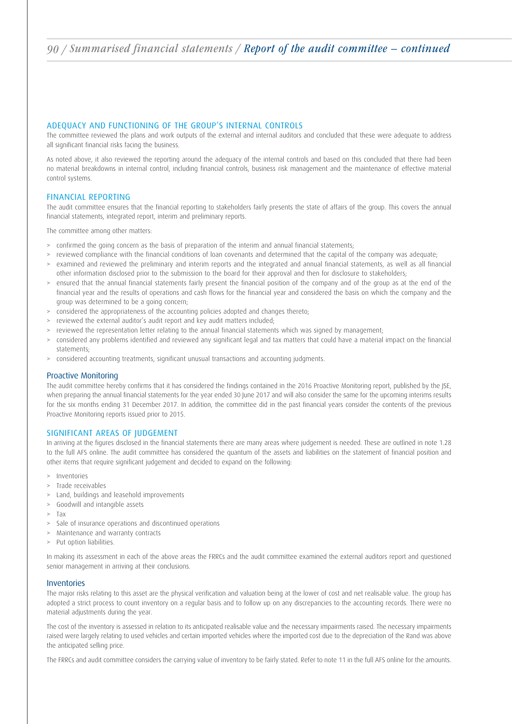### ADEQUACY AND FUNCTIONING OF THE GROUP'S INTERNAL CONTROLS

The committee reviewed the plans and work outputs of the external and internal auditors and concluded that these were adequate to address all significant financial risks facing the business.

As noted above, it also reviewed the reporting around the adequacy of the internal controls and based on this concluded that there had been no material breakdowns in internal control, including financial controls, business risk management and the maintenance of effective material control systems.

#### FINANCIAL REPORTING

The audit committee ensures that the financial reporting to stakeholders fairly presents the state of affairs of the group. This covers the annual financial statements, integrated report, interim and preliminary reports.

The committee among other matters:

- > confirmed the going concern as the basis of preparation of the interim and annual financial statements;
- reviewed compliance with the financial conditions of loan covenants and determined that the capital of the company was adequate;
- examined and reviewed the preliminary and interim reports and the integrated and annual financial statements, as well as all financial other information disclosed prior to the submission to the board for their approval and then for disclosure to stakeholders;
- > ensured that the annual financial statements fairly present the financial position of the company and of the group as at the end of the financial year and the results of operations and cash flows for the financial year and considered the basis on which the company and the group was determined to be a going concern;
- > considered the appropriateness of the accounting policies adopted and changes thereto;
- > reviewed the external auditor's audit report and key audit matters included;
- > reviewed the representation letter relating to the annual financial statements which was signed by management;
- > considered any problems identified and reviewed any significant legal and tax matters that could have a material impact on the financial statements;
- > considered accounting treatments, significant unusual transactions and accounting judgments.

#### Proactive Monitoring

The audit committee hereby confirms that it has considered the findings contained in the 2016 Proactive Monitoring report, published by the JSE, when preparing the annual financial statements for the year ended 30 June 2017 and will also consider the same for the upcoming interims results for the six months ending 31 December 2017. In addition, the committee did in the past financial years consider the contents of the previous Proactive Monitoring reports issued prior to 2015.

#### SIGNIFICANT AREAS OF JUDGEMENT

In arriving at the figures disclosed in the financial statements there are many areas where judgement is needed. These are outlined in note 1.28 to the full AFS online. The audit committee has considered the quantum of the assets and liabilities on the statement of financial position and other items that require significant judgement and decided to expand on the following:

- > Inventories
- > Trade receivables
- > Land, buildings and leasehold improvements
- > Goodwill and intangible assets
- > Tax
- > Sale of insurance operations and discontinued operations
- > Maintenance and warranty contracts
- > Put option liabilities.

In making its assessment in each of the above areas the FRRCs and the audit committee examined the external auditors report and questioned senior management in arriving at their conclusions.

#### Inventories

The major risks relating to this asset are the physical verification and valuation being at the lower of cost and net realisable value. The group has adopted a strict process to count inventory on a regular basis and to follow up on any discrepancies to the accounting records. There were no material adjustments during the year.

The cost of the inventory is assessed in relation to its anticipated realisable value and the necessary impairments raised. The necessary impairments raised were largely relating to used vehicles and certain imported vehicles where the imported cost due to the depreciation of the Rand was above the anticipated selling price.

The FRRCs and audit committee considers the carrying value of inventory to be fairly stated. Refer to note 11 in the full AFS online for the amounts.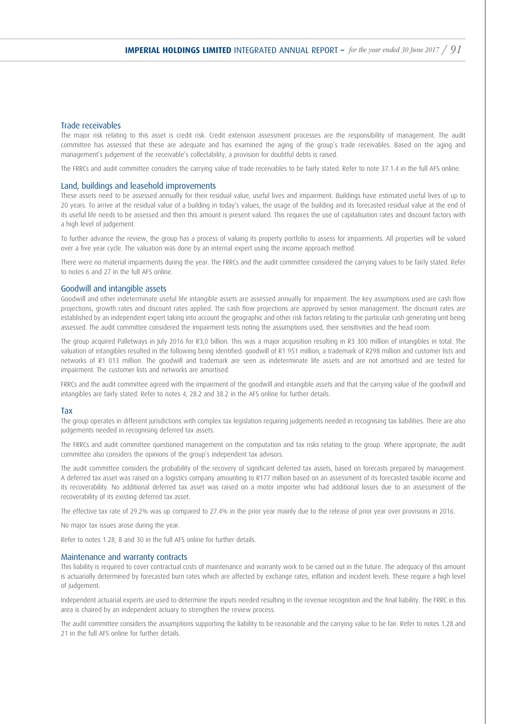#### Trade receivables

The major risk relating to this asset is credit risk. Credit extension assessment processes are the responsibility of management. The audit committee has assessed that these are adequate and has examined the aging of the group's trade receivables. Based on the aging and management's judgement of the receivable's collectability, a provision for doubtful debts is raised.

The FRRCs and audit committee considers the carrying value of trade receivables to be fairly stated. Refer to note 37.1.4 in the full AFS online.

#### Land, buildings and leasehold improvements

These assets need to be assessed annually for their residual value, useful lives and impairment. Buildings have estimated useful lives of up to 20 years. To arrive at the residual value of a building in today's values, the usage of the building and its forecasted residual value at the end of its useful life needs to be assessed and then this amount is present valued. This requires the use of capitalisation rates and discount factors with a high level of judgement.

To further advance the review, the group has a process of valuing its property portfolio to assess for impairments. All properties will be valued over a five year cycle. The valuation was done by an internal expert using the income approach method.

There were no material impairments during the year. The FRRCs and the audit committee considered the carrying values to be fairly stated. Refer to notes 6 and 27 in the full AFS online.

#### Goodwill and intangible assets

Goodwill and other indeterminate useful life intangible assets are assessed annually for impairment. The key assumptions used are cash flow projections, growth rates and discount rates applied. The cash flow projections are approved by senior management. The discount rates are established by an independent expert taking into account the geographic and other risk factors relating to the particular cash generating unit being assessed. The audit committee considered the impairment tests noting the assumptions used, their sensitivities and the head room.

The group acquired Palletways in July 2016 for R3,0 billion. This was a major acquisition resulting in R3 300 million of intangibles in total. The valuation of intangibles resulted in the following being identified: goodwill of R1 951 million, a trademark of R298 million and customer lists and networks of R1 013 million. The goodwill and trademark are seen as indeterminate life assets and are not amortised and are tested for impairment. The customer lists and networks are amortised.

FRRCs and the audit committee agreed with the impairment of the goodwill and intangible assets and that the carrying value of the goodwill and intangibles are fairly stated. Refer to notes 4, 28.2 and 38.2 in the AFS online for further details.

#### Tax

The group operates in different jurisdictions with complex tax legislation requiring judgements needed in recognising tax liabilities. There are also judgements needed in recognising deferred tax assets.

The FRRCs and audit committee questioned management on the computation and tax risks relating to the group. Where appropriate, the audit committee also considers the opinions of the group's independent tax advisors.

The audit committee considers the probability of the recovery of significant deferred tax assets, based on forecasts prepared by management. A deferred tax asset was raised on a logistics company amounting to R177 million based on an assessment of its forecasted taxable income and its recoverability. No additional deferred tax asset was raised on a motor importer who had additional losses due to an assessment of the recoverability of its existing deferred tax asset.

The effective tax rate of 29.2% was up compared to 27.4% in the prior year mainly due to the release of prior year over provisions in 2016.

No major tax issues arose during the year.

Refer to notes 1.28, 8 and 30 in the full AFS online for further details.

#### Maintenance and warranty contracts

This liability is required to cover contractual costs of maintenance and warranty work to be carried out in the future. The adequacy of this amount is actuarially determined by forecasted burn rates which are affected by exchange rates, inflation and incident levels. These require a high level of judgement.

Independent actuarial experts are used to determine the inputs needed resulting in the revenue recognition and the final liability. The FRRC in this area is chaired by an independent actuary to strengthen the review process.

The audit committee considers the assumptions supporting the liability to be reasonable and the carrying value to be fair. Refer to notes 1.28 and 21 in the full AFS online for further details.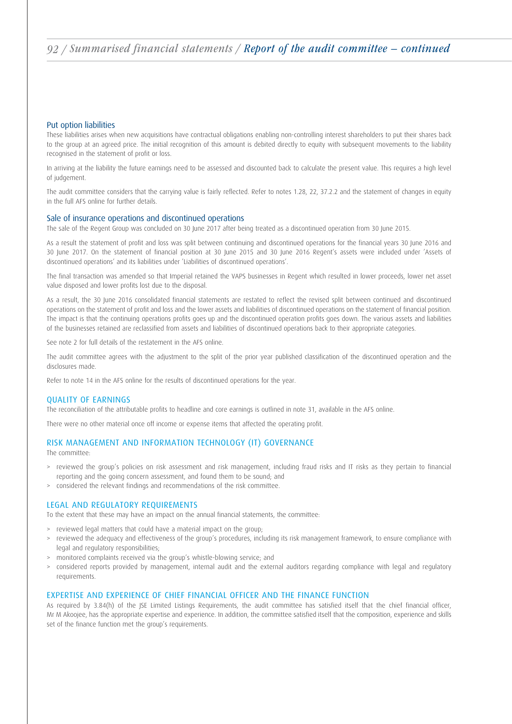### Put option liabilities

These liabilities arises when new acquisitions have contractual obligations enabling non-controlling interest shareholders to put their shares back to the group at an agreed price. The initial recognition of this amount is debited directly to equity with subsequent movements to the liability recognised in the statement of profit or loss.

In arriving at the liability the future earnings need to be assessed and discounted back to calculate the present value. This requires a high level of judgement.

The audit committee considers that the carrying value is fairly reflected. Refer to notes 1.28, 22, 37.2.2 and the statement of changes in equity in the full AFS online for further details.

#### Sale of insurance operations and discontinued operations

The sale of the Regent Group was concluded on 30 June 2017 after being treated as a discontinued operation from 30 June 2015.

As a result the statement of profit and loss was split between continuing and discontinued operations for the financial years 30 June 2016 and 30 June 2017. On the statement of financial position at 30 June 2015 and 30 June 2016 Regent's assets were included under 'Assets of discontinued operations' and its liabilities under 'Liabilities of discontinued operations'.

The final transaction was amended so that Imperial retained the VAPS businesses in Regent which resulted in lower proceeds, lower net asset value disposed and lower profits lost due to the disposal.

As a result, the 30 June 2016 consolidated financial statements are restated to reflect the revised split between continued and discontinued operations on the statement of profit and loss and the lower assets and liabilities of discontinued operations on the statement of financial position. The impact is that the continuing operations profits goes up and the discontinued operation profits goes down. The various assets and liabilities of the businesses retained are reclassified from assets and liabilities of discontinued operations back to their appropriate categories.

See note 2 for full details of the restatement in the AFS online.

The audit committee agrees with the adjustment to the split of the prior year published classification of the discontinued operation and the disclosures made.

Refer to note 14 in the AFS online for the results of discontinued operations for the year.

#### QUALITY OF EARNINGS

The reconciliation of the attributable profits to headline and core earnings is outlined in note 31, available in the AFS online.

There were no other material once off income or expense items that affected the operating profit.

### RISK MANAGEMENT AND INFORMATION TECHNOLOGY (IT) GOVERNANCE

The committee:

- > reviewed the group's policies on risk assessment and risk management, including fraud risks and IT risks as they pertain to financial reporting and the going concern assessment, and found them to be sound; and
- > considered the relevant findings and recommendations of the risk committee.

### LEGAL AND REGULATORY REQUIREMENTS

To the extent that these may have an impact on the annual financial statements, the committee:

- > reviewed legal matters that could have a material impact on the group;
- > reviewed the adequacy and effectiveness of the group's procedures, including its risk management framework, to ensure compliance with legal and regulatory responsibilities;
- > monitored complaints received via the group's whistle-blowing service; and
- > considered reports provided by management, internal audit and the external auditors regarding compliance with legal and regulatory requirements.

### EXPERTISE AND EXPERIENCE OF CHIEF FINANCIAL OFFICER AND THE FINANCE FUNCTION

As required by 3.84(h) of the JSE Limited Listings Requirements, the audit committee has satisfied itself that the chief financial officer, Mr M Akoojee, has the appropriate expertise and experience. In addition, the committee satisfied itself that the composition, experience and skills set of the finance function met the group's requirements.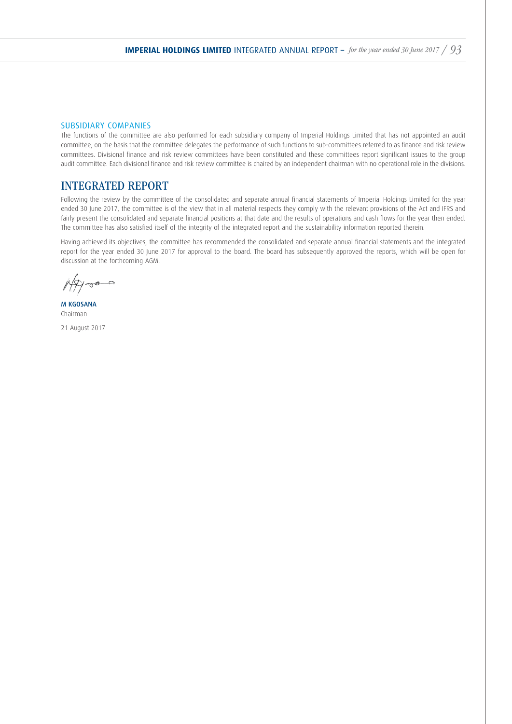### SUBSIDIARY COMPANIES

The functions of the committee are also performed for each subsidiary company of Imperial Holdings Limited that has not appointed an audit committee, on the basis that the committee delegates the performance of such functions to sub-committees referred to as finance and risk review committees. Divisional finance and risk review committees have been constituted and these committees report significant issues to the group audit committee. Each divisional finance and risk review committee is chaired by an independent chairman with no operational role in the divisions.

### INTEGRATED REPORT

Following the review by the committee of the consolidated and separate annual financial statements of Imperial Holdings Limited for the year ended 30 June 2017, the committee is of the view that in all material respects they comply with the relevant provisions of the Act and IFRS and fairly present the consolidated and separate financial positions at that date and the results of operations and cash flows for the year then ended. The committee has also satisfied itself of the integrity of the integrated report and the sustainability information reported therein.

Having achieved its objectives, the committee has recommended the consolidated and separate annual financial statements and the integrated report for the year ended 30 June 2017 for approval to the board. The board has subsequently approved the reports, which will be open for discussion at the forthcoming AGM.

M KGOSANA Chairman

21 August 2017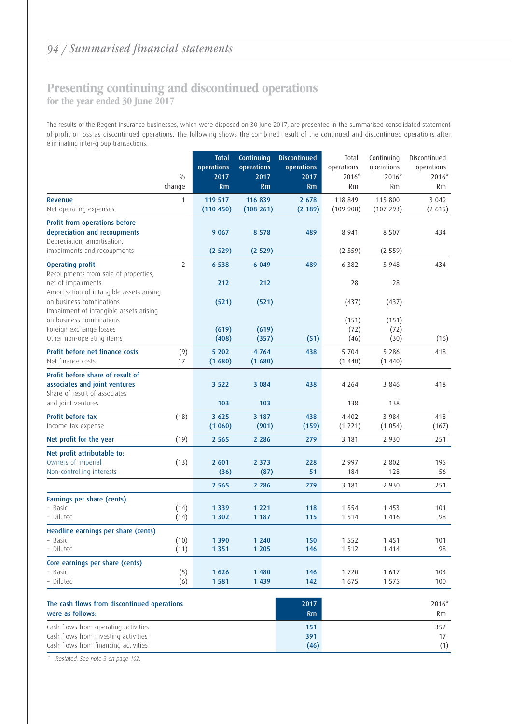### Presenting continuing and discontinued operations for the year ended 30 June 2017

The results of the Regent Insurance businesses, which were disposed on 30 June 2017, are presented in the summarised consolidated statement of profit or loss as discontinued operations. The following shows the combined result of the continued and discontinued operations after eliminating inter-group transactions.

|                                                                     |                | <b>Total</b>       | Continuing         | <b>Discontinued</b> | Total                 | Continuing          | Discontinued          |
|---------------------------------------------------------------------|----------------|--------------------|--------------------|---------------------|-----------------------|---------------------|-----------------------|
|                                                                     | 0/0            | operations<br>2017 | operations<br>2017 | operations<br>2017  | operations<br>$2016*$ | operations<br>2016* | operations<br>$2016*$ |
|                                                                     | change         | Rm                 | Rm                 | Rm                  | <b>Rm</b>             | Rm                  | Rm                    |
| <b>Revenue</b>                                                      | 1              | 119 517            | 116 839            | 2 6 7 8             | 118 849               | 115 800             | 3 0 4 9               |
| Net operating expenses                                              |                | (110 450)          | (108 261)          | (2 189)             | (109908)              | (107 293)           | (2 615)               |
| Profit from operations before                                       |                |                    |                    |                     |                       |                     |                       |
| depreciation and recoupments                                        |                | 9 0 6 7            | 8 5 7 8            | 489                 | 8 9 4 1               | 8 5 0 7             | 434                   |
| Depreciation, amortisation,<br>impairments and recoupments          |                | (2529)             | (2529)             |                     | (2559)                | (2559)              |                       |
| <b>Operating profit</b>                                             | $\overline{2}$ | 6 5 3 8            | 6 0 4 9            | 489                 | 6 3 8 2               | 5 9 4 8             | 434                   |
| Recoupments from sale of properties,                                |                |                    |                    |                     |                       |                     |                       |
| net of impairments                                                  |                | 212                | 212                |                     | 28                    | 28                  |                       |
| Amortisation of intangible assets arising                           |                |                    |                    |                     |                       |                     |                       |
| on business combinations<br>Impairment of intangible assets arising |                | (521)              | (521)              |                     | (437)                 | (437)               |                       |
| on business combinations                                            |                |                    |                    |                     | (151)                 | (151)               |                       |
| Foreign exchange losses                                             |                | (619)              | (619)              |                     | (72)                  | (72)                |                       |
| Other non-operating items                                           |                | (408)              | (357)              | (51)                | (46)                  | (30)                | (16)                  |
| Profit before net finance costs                                     | (9)            | 5 202              | 4764               | 438                 | 5 7 0 4               | 5 2 8 6             | 418                   |
| Net finance costs                                                   | 17             | (1680)             | (1680)             |                     | (1440)                | (1440)              |                       |
| Profit before share of result of                                    |                |                    |                    |                     |                       |                     |                       |
| associates and joint ventures                                       |                | 3 5 2 2            | 3 0 8 4            | 438                 | 4 2 6 4               | 3 8 4 6             | 418                   |
| Share of result of associates                                       |                |                    |                    |                     |                       |                     |                       |
| and joint ventures                                                  |                | 103                | 103                |                     | 138                   | 138                 |                       |
| Profit before tax                                                   | (18)           | 3 6 2 5            | 3 187              | 438                 | 4 4 0 2               | 3 9 8 4             | 418                   |
| Income tax expense                                                  |                | (1060)             | (901)              | (159)               | (1 221)               | (1054)              | (167)                 |
| Net profit for the year                                             | (19)           | 2 5 6 5            | 2 2 8 6            | 279                 | 3 181                 | 2 9 3 0             | 251                   |
| Net profit attributable to:                                         |                |                    |                    |                     |                       |                     |                       |
| Owners of Imperial                                                  | (13)           | 2 601              | 2 3 7 3            | 228                 | 2 9 9 7               | 2 8 0 2             | 195                   |
| Non-controlling interests                                           |                | (36)               | (87)               | 51                  | 184                   | 128                 | 56                    |
|                                                                     |                | 2 5 6 5            | 2 2 8 6            | 279                 | 3 181                 | 2 9 3 0             | 251                   |
| Earnings per share (cents)                                          |                |                    |                    |                     |                       |                     |                       |
| - Basic                                                             | (14)           | 1 3 3 9            | 1 2 2 1            | 118                 | 1 5 5 4               | 1 4 5 3             | 101                   |
| - Diluted                                                           | (14)           | 1 3 0 2            | 1 1 8 7            | 115                 | 1 5 1 4               | 1 4 1 6             | 98                    |
| Headline earnings per share (cents)                                 |                |                    |                    |                     |                       |                     |                       |
| – Basic<br>- Diluted                                                | (10)<br>(11)   | 1 390<br>1 3 5 1   | 1 2 4 0<br>1 2 0 5 | 150<br>146          | 1 5 5 2<br>1 5 1 2    | 1451<br>1 4 1 4     | 101<br>98             |
|                                                                     |                |                    |                    |                     |                       |                     |                       |
| Core earnings per share (cents)<br>- Basic                          |                | 1 6 2 6            | 1 4 8 0            | 146                 | 1720                  | 1 6 1 7             | 103                   |
| - Diluted                                                           | (5)<br>(6)     | 1581               | 1 4 3 9            | 142                 | 1675                  | 1 5 7 5             | 100                   |
|                                                                     |                |                    |                    |                     |                       |                     |                       |
| The cash flows from discontinued operations                         |                |                    |                    | 2017                |                       |                     | 2016*                 |
| were as follows:                                                    |                |                    |                    | Rm                  |                       |                     | Rm                    |
| Cash flows from operating activities                                |                |                    |                    | 151                 |                       |                     | 352                   |
| Cash flows from investing activities                                |                |                    |                    | 391                 |                       |                     | 17                    |
| Cash flows from financing activities                                |                |                    |                    | (46)                |                       |                     | (1)                   |

\* Restated. See note 3 on page 102.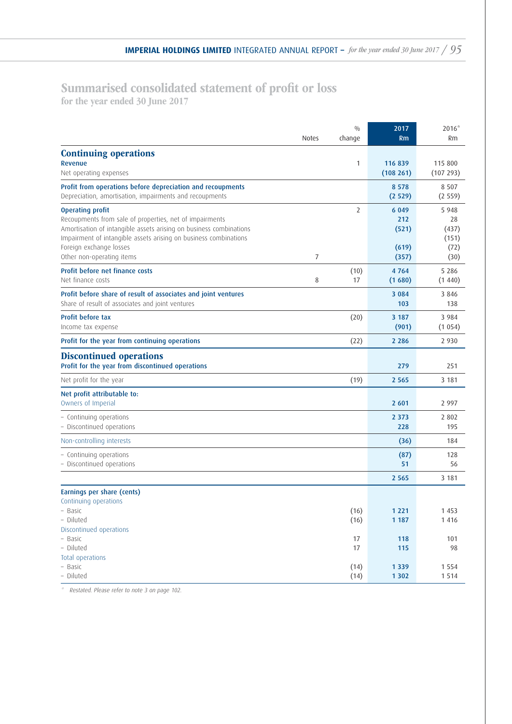### Summarised consolidated statement of profit or loss

for the year ended 30 June 2017

|                                                                                                                                                                                                                                                                                      | <b>Notes</b> | 0/0<br>change    | 2017<br>Rm                                | $2016*$<br>Rm                                   |
|--------------------------------------------------------------------------------------------------------------------------------------------------------------------------------------------------------------------------------------------------------------------------------------|--------------|------------------|-------------------------------------------|-------------------------------------------------|
| <b>Continuing operations</b><br>Revenue<br>Net operating expenses                                                                                                                                                                                                                    |              | 1                | 116 839<br>(108 261)                      | 115 800<br>(107 293)                            |
| Profit from operations before depreciation and recoupments<br>Depreciation, amortisation, impairments and recoupments                                                                                                                                                                |              |                  | 8 5 7 8<br>(2529)                         | 8 5 0 7<br>(2559)                               |
| <b>Operating profit</b><br>Recoupments from sale of properties, net of impairments<br>Amortisation of intangible assets arising on business combinations<br>Impairment of intangible assets arising on business combinations<br>Foreign exchange losses<br>Other non-operating items | 7            | 2                | 6 0 4 9<br>212<br>(521)<br>(619)<br>(357) | 5 9 4 8<br>28<br>(437)<br>(151)<br>(72)<br>(30) |
| Profit before net finance costs<br>Net finance costs                                                                                                                                                                                                                                 | 8            | (10)<br>17       | 4764<br>(1680)                            | 5 2 8 6<br>(1440)                               |
| Profit before share of result of associates and joint ventures<br>Share of result of associates and joint ventures                                                                                                                                                                   |              |                  | 3 0 8 4<br>103                            | 3846<br>138                                     |
| <b>Profit before tax</b><br>Income tax expense                                                                                                                                                                                                                                       |              | (20)             | 3 187<br>(901)                            | 3 9 8 4<br>(1054)                               |
| Profit for the year from continuing operations                                                                                                                                                                                                                                       |              | (22)             | 2 2 8 6                                   | 2 9 3 0                                         |
| <b>Discontinued operations</b><br>Profit for the year from discontinued operations                                                                                                                                                                                                   |              |                  | 279                                       | 251                                             |
| Net profit for the year                                                                                                                                                                                                                                                              |              | (19)             | 2 5 6 5                                   | 3 181                                           |
| Net profit attributable to:<br>Owners of Imperial                                                                                                                                                                                                                                    |              |                  | 2 601                                     | 2 9 9 7                                         |
| - Continuing operations<br>- Discontinued operations                                                                                                                                                                                                                                 |              |                  | 2 3 7 3<br>228                            | 2 8 0 2<br>195                                  |
| Non-controlling interests                                                                                                                                                                                                                                                            |              |                  | (36)                                      | 184                                             |
| - Continuing operations<br>- Discontinued operations                                                                                                                                                                                                                                 |              |                  | (87)<br>51                                | 128<br>56                                       |
|                                                                                                                                                                                                                                                                                      |              |                  | 2 5 6 5                                   | 3 181                                           |
| Earnings per share (cents)<br>Continuing operations<br>- Basic<br>- Diluted                                                                                                                                                                                                          |              | (16)<br>(16)     | 1 2 2 1<br>1 1 8 7                        | 1 4 5 3<br>1 4 1 6                              |
| Discontinued operations<br>- Basic<br>- Diluted<br>Total operations<br>- Basic                                                                                                                                                                                                       |              | 17<br>17<br>(14) | 118<br>115<br>1 3 3 9                     | 101<br>98<br>1 5 5 4                            |
| - Diluted                                                                                                                                                                                                                                                                            |              | (14)             | 1 3 0 2                                   | 1 5 1 4                                         |

\* Restated. Please refer to note 3 on page 102.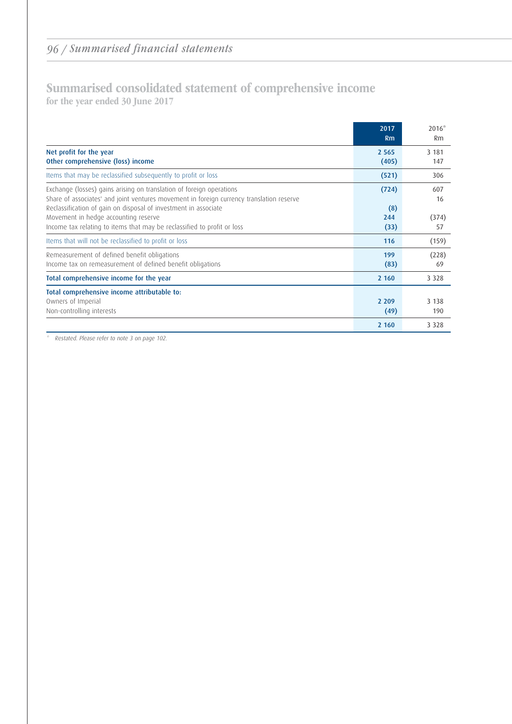### Summarised consolidated statement of comprehensive income for the year ended 30 June 2017

|                                                                                                                                                                                                                                                                                                                                                        | 2017<br>Rm                  | $2016*$<br>Rm            |
|--------------------------------------------------------------------------------------------------------------------------------------------------------------------------------------------------------------------------------------------------------------------------------------------------------------------------------------------------------|-----------------------------|--------------------------|
| Net profit for the year<br>Other comprehensive (loss) income                                                                                                                                                                                                                                                                                           | 2 5 6 5<br>(405)            | 3 1 8 1<br>147           |
| Items that may be reclassified subsequently to profit or loss                                                                                                                                                                                                                                                                                          | (521)                       | 306                      |
| Exchange (losses) gains arising on translation of foreign operations<br>Share of associates' and joint ventures movement in foreign currency translation reserve<br>Reclassification of gain on disposal of investment in associate<br>Movement in hedge accounting reserve<br>Income tax relating to items that may be reclassified to profit or loss | (724)<br>(8)<br>244<br>(33) | 607<br>16<br>(374)<br>57 |
| Items that will not be reclassified to profit or loss                                                                                                                                                                                                                                                                                                  | 116                         | (159)                    |
| Remeasurement of defined benefit obligations<br>Income tax on remeasurement of defined benefit obligations                                                                                                                                                                                                                                             | 199<br>(83)                 | (228)<br>69              |
| Total comprehensive income for the year                                                                                                                                                                                                                                                                                                                | 2 1 6 0                     | 3 3 2 8                  |
| Total comprehensive income attributable to:<br>Owners of Imperial<br>Non-controlling interests                                                                                                                                                                                                                                                         | 2 2 0 9<br>(49)             | 3 1 3 8<br>190           |
|                                                                                                                                                                                                                                                                                                                                                        | 2 1 6 0                     | 3 3 2 8                  |

\* Restated. Please refer to note 3 on page 102.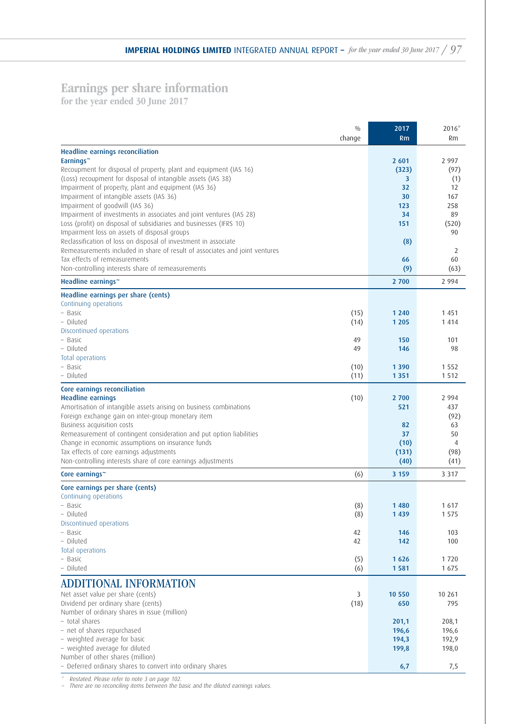### Earnings per share information

for the year ended 30 June 2017

|                                                                                                                      | 0/0<br>change | 2017<br><b>Rm</b> | $2016*$<br>Rm  |
|----------------------------------------------------------------------------------------------------------------------|---------------|-------------------|----------------|
| <b>Headline earnings reconciliation</b><br>Earnings~                                                                 |               | 2 601             | 2 9 9 7        |
| Recoupment for disposal of property, plant and equipment (IAS 16)                                                    |               | (323)             | (97)           |
| (Loss) recoupment for disposal of intangible assets (IAS 38)<br>Impairment of property, plant and equipment (IAS 36) |               | 3<br>32           | (1)<br>12      |
| Impairment of intangible assets (IAS 36)                                                                             |               | 30                | 167            |
| Impairment of goodwill (IAS 36)                                                                                      |               | 123               | 258            |
| Impairment of investments in associates and joint ventures (IAS 28)                                                  |               | 34                | 89             |
| Loss (profit) on disposal of subsidiaries and businesses (IFRS 10)                                                   |               | 151               | (520)          |
| Impairment loss on assets of disposal groups<br>Reclassification of loss on disposal of investment in associate      |               | (8)               | 90             |
| Remeasurements included in share of result of associates and joint ventures                                          |               |                   | 2              |
| Tax effects of remeasurements                                                                                        |               | 66                | 60             |
| Non-controlling interests share of remeasurements                                                                    |               | (9)               | (63)           |
| Headline earnings~                                                                                                   |               | 2 700             | 2 9 9 4        |
| Headline earnings per share (cents)                                                                                  |               |                   |                |
| Continuing operations<br>- Basic                                                                                     | (15)          | 1 2 4 0           | 1451           |
| - Diluted                                                                                                            | (14)          | 1 2 0 5           | 1414           |
| Discontinued operations                                                                                              |               |                   |                |
| - Basic                                                                                                              | 49            | 150               | 101            |
| - Diluted                                                                                                            | 49            | 146               | 98             |
| Total operations<br>- Basic                                                                                          | (10)          | 1 3 9 0           | 1 5 5 2        |
| - Diluted                                                                                                            | (11)          | 1 3 5 1           | 1 5 1 2        |
| Core earnings reconciliation                                                                                         |               |                   |                |
| <b>Headline earnings</b>                                                                                             | (10)          | 2 700             | 2 9 9 4        |
| Amortisation of intangible assets arising on business combinations                                                   |               | 521               | 437            |
| Foreign exchange gain on inter-group monetary item                                                                   |               |                   | (92)           |
| Business acquisition costs<br>Remeasurement of contingent consideration and put option liabilities                   |               | 82<br>37          | 63<br>50       |
| Change in economic assumptions on insurance funds                                                                    |               | (10)              | 4              |
| Tax effects of core earnings adjustments                                                                             |               | (131)             | (98)           |
| Non-controlling interests share of core earnings adjustments                                                         |               | (40)              | (41)           |
| Core earnings~                                                                                                       | (6)           | 3 1 5 9           | 3 3 1 7        |
| Core earnings per share (cents)                                                                                      |               |                   |                |
| Continuing operations                                                                                                |               | 1 4 8 0           | 1617           |
| – Basic<br>- Diluted                                                                                                 | (8)<br>(8)    | 1 4 3 9           | 1 5 7 5        |
| Discontinued operations                                                                                              |               |                   |                |
| - Basic                                                                                                              | 42            | 146               | 103            |
| - Diluted                                                                                                            | 42            | 142               | 100            |
| Total operations<br>- Basic                                                                                          | (5)           | 1626              | 1720           |
| - Diluted                                                                                                            | (6)           | 1581              | 1675           |
| <b>ADDITIONAL INFORMATION</b>                                                                                        |               |                   |                |
| Net asset value per share (cents)                                                                                    | 3             | 10 550            | 10 261         |
| Dividend per ordinary share (cents)                                                                                  | (18)          | 650               | 795            |
| Number of ordinary shares in issue (million)                                                                         |               |                   |                |
| - total shares                                                                                                       |               | 201,1             | 208,1          |
| - net of shares repurchased<br>- weighted average for basic                                                          |               | 196,6<br>194,3    | 196,6<br>192,9 |
| - weighted average for diluted                                                                                       |               | 199,8             | 198,0          |
| Number of other shares (million)                                                                                     |               |                   |                |
| - Deferred ordinary shares to convert into ordinary shares                                                           |               | 6,7               | 7,5            |

\* Restated. Please refer to note 3 on page 102.

~ There are no reconciling items between the basic and the diluted earnings values.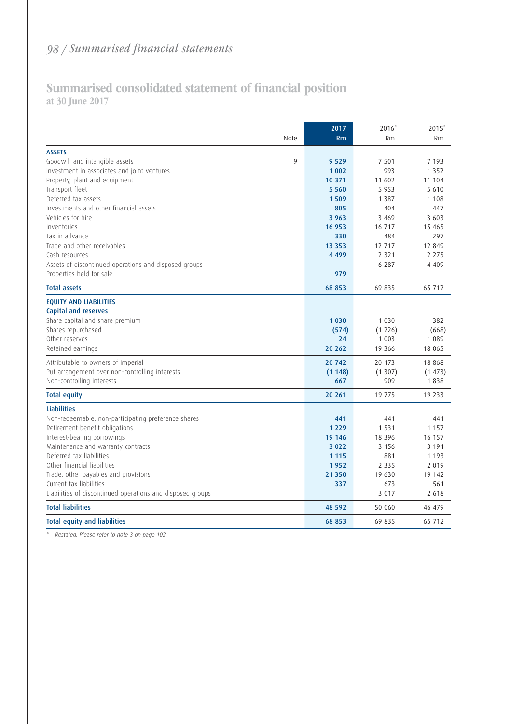### Summarised consolidated statement of financial position at 30 June 2017

|                                                            | 2017     | $2016*$  | $2015*$  |
|------------------------------------------------------------|----------|----------|----------|
| Note                                                       | Rm       | Rm       | Rm       |
| <b>ASSETS</b>                                              |          |          |          |
| Goodwill and intangible assets<br>9                        | 9 5 2 9  | 7 5 0 1  | 7 1 9 3  |
| Investment in associates and joint ventures                | 1 0 0 2  | 993      | 1 3 5 2  |
| Property, plant and equipment                              | 10 371   | 11 602   | 11 104   |
| Transport fleet                                            | 5 5 6 0  | 5 9 5 3  | 5 6 1 0  |
| Deferred tax assets                                        | 1509     | 1 3 8 7  | 1 1 0 8  |
| Investments and other financial assets                     | 805      | 404      | 447      |
| Vehicles for hire                                          | 3 9 6 3  | 3 4 6 9  | 3 603    |
| Inventories                                                | 16 953   | 16 717   | 15 4 65  |
| Tax in advance                                             | 330      | 484      | 297      |
| Trade and other receivables                                | 13 3 5 3 | 12 7 17  | 12 849   |
| Cash resources                                             | 4 4 9 9  | 2 3 2 1  | 2 2 7 5  |
| Assets of discontinued operations and disposed groups      |          | 6 2 8 7  | 4 4 0 9  |
| Properties held for sale                                   | 979      |          |          |
| <b>Total assets</b>                                        | 68 853   | 69 835   | 65 712   |
| <b>EQUITY AND LIABILITIES</b>                              |          |          |          |
| Capital and reserves                                       |          |          |          |
| Share capital and share premium                            | 1 0 3 0  | 1 0 3 0  | 382      |
| Shares repurchased                                         | (574)    | (1226)   | (668)    |
| Other reserves                                             | 24       | 1 0 0 3  | 1 0 8 9  |
| Retained earnings                                          | 20 26 2  | 19 3 6 6 | 18 0 65  |
| Attributable to owners of Imperial                         | 20 742   | 20 173   | 18 8 6 8 |
| Put arrangement over non-controlling interests             | (1148)   | (1307)   | (1473)   |
| Non-controlling interests                                  | 667      | 909      | 1838     |
| <b>Total equity</b>                                        | 20 26 1  | 19 775   | 19 233   |
| <b>Liabilities</b>                                         |          |          |          |
| Non-redeemable, non-participating preference shares        | 441      | 441      | 441      |
| Retirement benefit obligations                             | 1 2 2 9  | 1 5 3 1  | 1 1 5 7  |
| Interest-bearing borrowings                                | 19 14 6  | 18 3 9 6 | 16 157   |
| Maintenance and warranty contracts                         | 3 0 2 2  | 3 1 5 6  | 3 1 9 1  |
| Deferred tax liabilities                                   | 1 1 1 5  | 881      | 1 1 9 3  |
| Other financial liabilities                                | 1952     | 2 3 3 5  | 2 0 1 9  |
| Trade, other payables and provisions                       | 21 350   | 19 630   | 19 142   |
| Current tax liabilities                                    | 337      | 673      | 561      |
| Liabilities of discontinued operations and disposed groups |          | 3 0 1 7  | 2 6 1 8  |
| <b>Total liabilities</b>                                   | 48 592   | 50 060   | 46 479   |
| <b>Total equity and liabilities</b>                        | 68 853   | 69 835   | 65 712   |

\* Restated. Please refer to note 3 on page 102.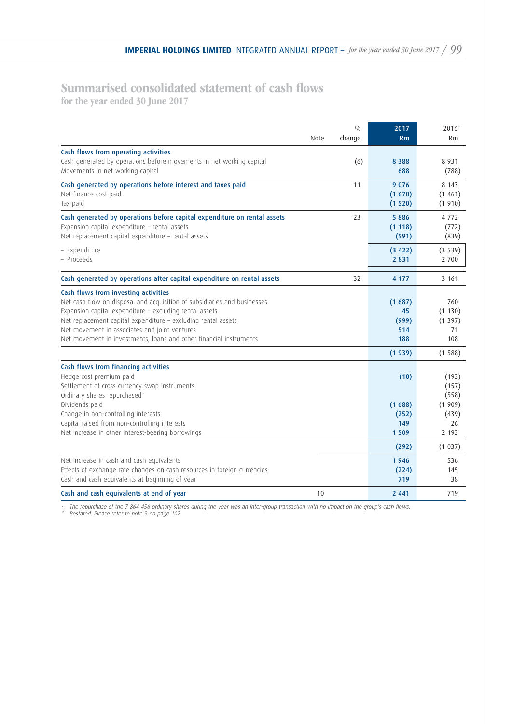## Summarised consolidated statement of cash flows

for the year ended 30 June 2017

|                                                                          |             | 0/0    | 2017    | $2016*$ |
|--------------------------------------------------------------------------|-------------|--------|---------|---------|
|                                                                          | <b>Note</b> | change | Rm      | Rm      |
| Cash flows from operating activities                                     |             |        |         |         |
| Cash generated by operations before movements in net working capital     |             | (6)    | 8 3 8 8 | 8 9 3 1 |
| Movements in net working capital                                         |             |        | 688     | (788)   |
| Cash generated by operations before interest and taxes paid              |             | 11     | 9 0 7 6 | 8 1 4 3 |
| Net finance cost paid                                                    |             |        | (1670)  | (1461)  |
| Tax paid                                                                 |             |        | (1520)  | (1910)  |
| Cash generated by operations before capital expenditure on rental assets |             | 23     | 5886    | 4 7 7 2 |
| Expansion capital expenditure - rental assets                            |             |        | (1118)  | (772)   |
| Net replacement capital expenditure - rental assets                      |             |        | (591)   | (839)   |
| - Expenditure                                                            |             |        | (3 422) | (3539)  |
| - Proceeds                                                               |             |        | 2 8 3 1 | 2 700   |
| Cash generated by operations after capital expenditure on rental assets  |             | 32     | 4 1 7 7 | 3 1 6 1 |
| Cash flows from investing activities                                     |             |        |         |         |
| Net cash flow on disposal and acquisition of subsidiaries and businesses |             |        | (1687)  | 760     |
| Expansion capital expenditure - excluding rental assets                  |             |        | 45      | (1130)  |
| Net replacement capital expenditure - excluding rental assets            |             |        | (999)   | (1397)  |
| Net movement in associates and joint ventures                            |             |        | 514     | 71      |
| Net movement in investments, loans and other financial instruments       |             |        | 188     | 108     |
|                                                                          |             |        | (1939)  | (1588)  |
| Cash flows from financing activities                                     |             |        |         |         |
| Hedge cost premium paid                                                  |             |        | (10)    | (193)   |
| Settlement of cross currency swap instruments                            |             |        |         | (157)   |
| Ordinary shares repurchased <sup>-</sup>                                 |             |        |         | (558)   |
| Dividends paid                                                           |             |        | (1688)  | (1909)  |
| Change in non-controlling interests                                      |             |        | (252)   | (439)   |
| Capital raised from non-controlling interests                            |             |        | 149     | 26      |
| Net increase in other interest-bearing borrowings                        |             |        | 1509    | 2 1 9 3 |
|                                                                          |             |        | (292)   | (1037)  |
| Net increase in cash and cash equivalents                                |             |        | 1946    | 536     |
| Effects of exchange rate changes on cash resources in foreign currencies |             |        | (224)   | 145     |
| Cash and cash equivalents at beginning of year                           |             |        | 719     | 38      |
| Cash and cash equivalents at end of year                                 | 10          |        | 2 4 4 1 | 719     |

~ The repurchase of the 7 864 456 ordinary shares during the year was an inter-group transaction with no impact on the group's cash flows. \* Restated. Please refer to note 3 on page 102.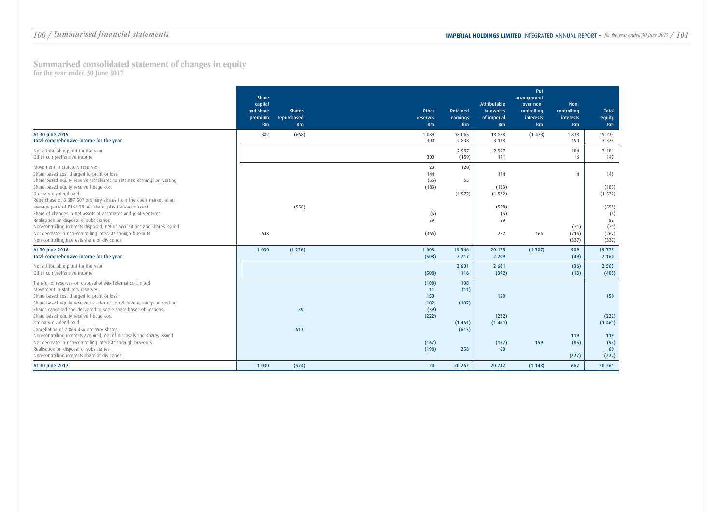|                                                                                                                                                                                                                                                                                                                                                                                                                                         | Share<br>capital<br>and share<br>premium<br>Rm | <b>Shares</b><br>repurchased<br>Rm | <b>Other</b><br><b>reserves</b><br>Rm        | Retained<br>earnings<br>Rm | Attributable<br>to owners<br>of imperial<br>Rm | Put<br>arrangement<br>over non-<br>controlling<br>interests<br>Rm | Non-<br>controlling<br>interests<br>Rm | <b>Total</b><br>equity<br>Rm                 |
|-----------------------------------------------------------------------------------------------------------------------------------------------------------------------------------------------------------------------------------------------------------------------------------------------------------------------------------------------------------------------------------------------------------------------------------------|------------------------------------------------|------------------------------------|----------------------------------------------|----------------------------|------------------------------------------------|-------------------------------------------------------------------|----------------------------------------|----------------------------------------------|
| At 30 June 2015<br>Total comprehensive income for the year                                                                                                                                                                                                                                                                                                                                                                              | 382                                            | (668)                              | 1 0 8 9<br>300                               | 18 065<br>2 8 3 8          | 18 8 6 8<br>3 1 3 8                            | (1473)                                                            | 1838<br>190                            | 19 233<br>3 3 2 8                            |
| Net attributable profit for the year<br>Other comprehensive income                                                                                                                                                                                                                                                                                                                                                                      |                                                |                                    | 300                                          | 2 9 9 7<br>(159)           | 2 9 9 7<br>141                                 |                                                                   | 184<br>6                               | 3 1 8 1<br>147                               |
| Movement in statutory reserves<br>Share-based cost charged to profit or loss<br>Share-based equity reserve transferred to retained earnings on vesting<br>Share-based equity reserve hedge cost<br>Ordinary dividend paid                                                                                                                                                                                                               |                                                |                                    | 20<br>144<br>(55)<br>(183)                   | (20)<br>55<br>(1572)       | 144<br>(183)<br>(1 572)                        |                                                                   | $\overline{4}$                         | 148<br>(183)<br>(1572)                       |
| Repurchase of 3 387 507 ordinary shares from the open market at an<br>average price of R164,78 per share, plus transaction cost<br>Share of changes in net assets of associates and joint ventures<br>Realisation on disposal of subsidiaries<br>Non-controlling interests disposed, net of acquisitions and shares issued<br>Net decrease in non-controlling interests though buy-outs<br>Non-controlling interests share of dividends | 648                                            | (558)                              | (5)<br>59<br>(366)                           |                            | (558)<br>(5)<br>59<br>282                      | 166                                                               | (71)<br>(715)<br>(337)                 | (558)<br>(5)<br>59<br>(71)<br>(267)<br>(337) |
| At 30 June 2016<br>Total comprehensive income for the year                                                                                                                                                                                                                                                                                                                                                                              | 1 0 3 0                                        | (1226)                             | 1 0 0 3<br>(508)                             | 19 3 66<br>2 7 1 7         | 20 173<br>2 2 0 9                              | (1307)                                                            | 909<br>(49)                            | 19 775<br>2 1 6 0                            |
| Net attributable profit for the year<br>Other comprehensive income                                                                                                                                                                                                                                                                                                                                                                      |                                                |                                    | (508)                                        | 2 601<br>116               | 2 601<br>(392)                                 |                                                                   | (36)<br>(13)                           | 2 5 6 5<br>(405)                             |
| Transfer of reserves on disposal of Mix Telematics Limited<br>Movement in statutory reserves<br>Share-based cost charged to profit or loss<br>Share-based equity reserve transferred to retained earnings on vesting<br>Shares cancelled and delivered to settle share based obligations<br>Share-based equity reserve hedge cost                                                                                                       |                                                | 39                                 | (108)<br>11<br>150<br>$102$<br>(39)<br>(222) | 108<br>(11)<br>(102)       | 150<br>(222)                                   |                                                                   |                                        | 150<br>(222)                                 |
| Ordinary dividend paid<br>Cancellation of 7 864 456 ordinary shares<br>Non-controlling interests acquired, net of disposals and shares issued<br>Net decrease in non-controlling interests through buy-outs<br>Realisation on disposal of subsidiaries<br>Non-controlling interests share of dividends                                                                                                                                  |                                                | 613                                | (167)<br>(198)                               | (1461)<br>(613)<br>258     | (1461)<br>(167)<br>60                          | 159                                                               | 119<br>(85)<br>(227)                   | (1461)<br>119<br>(93)<br>60<br>(227)         |
| At 30 June 2017                                                                                                                                                                                                                                                                                                                                                                                                                         | 1 0 3 0                                        | (574)                              | 24                                           | 20 26 2                    | 20 742                                         | (1148)                                                            | 667                                    | 20 261                                       |

## **IMPERIAL HOLDINGS LIMITED** INTEGRATED ANNUAL REPORT – for the year ended 30 June 2017 / 101

Summarised consolidated statement of changes in equity for the year ended 30 June 2017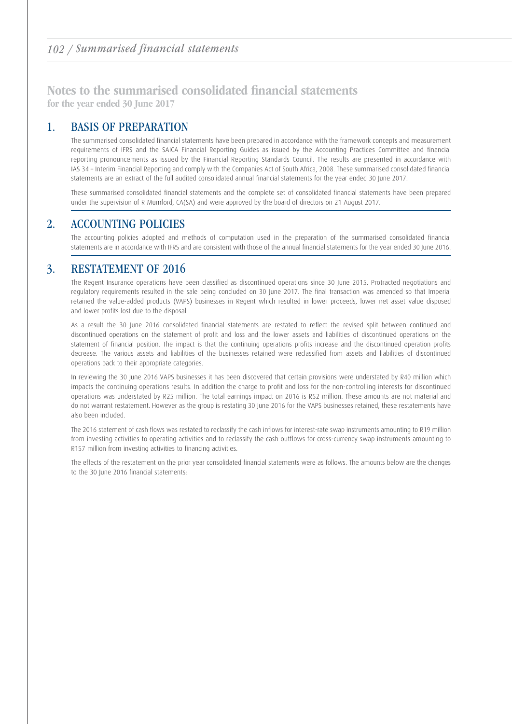## Notes to the summarised consolidated financial statements

for the year ended 30 June 2017

### 1. BASIS OF PREPARATION

 The summarised consolidated financial statements have been prepared in accordance with the framework concepts and measurement requirements of IFRS and the SAICA Financial Reporting Guides as issued by the Accounting Practices Committee and financial reporting pronouncements as issued by the Financial Reporting Standards Council. The results are presented in accordance with IAS 34 – Interim Financial Reporting and comply with the Companies Act of South Africa, 2008. These summarised consolidated financial statements are an extract of the full audited consolidated annual financial statements for the year ended 30 June 2017.

 These summarised consolidated financial statements and the complete set of consolidated financial statements have been prepared under the supervision of R Mumford, CA(SA) and were approved by the board of directors on 21 August 2017.

### 2. ACCOUNTING POLICIES

 The accounting policies adopted and methods of computation used in the preparation of the summarised consolidated financial statements are in accordance with IFRS and are consistent with those of the annual financial statements for the year ended 30 June 2016.

### 3. RESTATEMENT OF 2016

 The Regent Insurance operations have been classified as discontinued operations since 30 June 2015. Protracted negotiations and regulatory requirements resulted in the sale being concluded on 30 June 2017. The final transaction was amended so that Imperial retained the value-added products (VAPS) businesses in Regent which resulted in lower proceeds, lower net asset value disposed and lower profits lost due to the disposal.

 As a result the 30 June 2016 consolidated financial statements are restated to reflect the revised split between continued and discontinued operations on the statement of profit and loss and the lower assets and liabilities of discontinued operations on the statement of financial position. The impact is that the continuing operations profits increase and the discontinued operation profits decrease. The various assets and liabilities of the businesses retained were reclassified from assets and liabilities of discontinued operations back to their appropriate categories.

 In reviewing the 30 June 2016 VAPS businesses it has been discovered that certain provisions were understated by R40 million which impacts the continuing operations results. In addition the charge to profit and loss for the non-controlling interests for discontinued operations was understated by R25 million. The total earnings impact on 2016 is R52 million. These amounts are not material and do not warrant restatement. However as the group is restating 30 June 2016 for the VAPS businesses retained, these restatements have also been included.

 The 2016 statement of cash flows was restated to reclassify the cash inflows for interest-rate swap instruments amounting to R19 million from investing activities to operating activities and to reclassify the cash outflows for cross-currency swap instruments amounting to R157 million from investing activities to financing activities.

 The effects of the restatement on the prior year consolidated financial statements were as follows. The amounts below are the changes to the 30 June 2016 financial statements: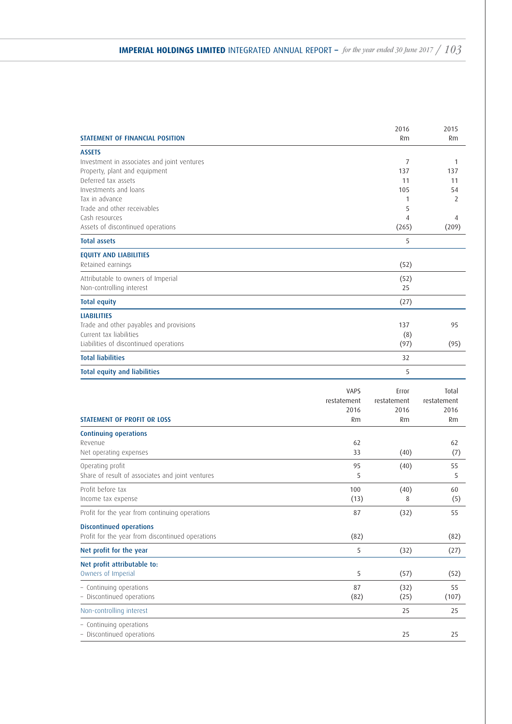| <b>STATEMENT OF FINANCIAL POSITION</b>              |             | 2016<br>Rm  | 2015<br>Rm  |
|-----------------------------------------------------|-------------|-------------|-------------|
| <b>ASSETS</b>                                       |             |             |             |
| Investment in associates and joint ventures         |             | 7           | 1           |
| Property, plant and equipment                       |             | 137         | 137         |
| Deferred tax assets                                 |             | 11          | 11          |
| Investments and loans                               |             | 105         | 54          |
| Tax in advance                                      |             | 1           | 2           |
| Trade and other receivables                         |             | 5           |             |
| Cash resources<br>Assets of discontinued operations |             | 4<br>(265)  | 4<br>(209)  |
| <b>Total assets</b>                                 |             | 5           |             |
| <b>EQUITY AND LIABILITIES</b>                       |             |             |             |
| Retained earnings                                   |             | (52)        |             |
| Attributable to owners of Imperial                  |             | (52)        |             |
| Non-controlling interest                            |             | 25          |             |
| <b>Total equity</b>                                 |             | (27)        |             |
| <b>LIABILITIES</b>                                  |             |             |             |
| Trade and other payables and provisions             |             | 137         | 95          |
| Current tax liabilities                             |             | (8)         |             |
| Liabilities of discontinued operations              |             | (97)        | (95)        |
| <b>Total liabilities</b>                            |             | 32          |             |
| <b>Total equity and liabilities</b>                 |             | 5           |             |
|                                                     | <b>VAPS</b> | Error       | Total       |
|                                                     | restatement | restatement | restatement |
|                                                     | 2016        | 2016        | 2016        |
| <b>STATEMENT OF PROFIT OR LOSS</b>                  | Rm          | Rm          | Rm          |
| <b>Continuing operations</b>                        |             |             |             |
| Revenue                                             | 62          |             | 62          |
| Net operating expenses                              | 33          | (40)        | (7)         |
| Operating profit                                    | 95          | (40)        | 55          |
| Share of result of associates and joint ventures    | 5           |             | 5           |
| Profit before tax                                   | 100         | (40)        | 60          |
| Income tax expense                                  | (13)        | 8           | (5)         |
| Profit for the year from continuing operations      | 87          | (32)        | 55          |
| <b>Discontinued operations</b>                      |             |             |             |
| Profit for the year from discontinued operations    | (82)        |             | (82)        |
| Net profit for the year                             | 5           | (32)        | (27)        |
| Net profit attributable to:                         |             |             |             |
| Owners of Imperial                                  | 5           | (57)        | (52)        |
| - Continuing operations                             | 87          | (32)        | 55          |
| - Discontinued operations                           | (82)        | (25)        | (107)       |
| Non-controlling interest                            |             | 25          | 25          |
| - Continuing operations                             |             |             |             |
| - Discontinued operations                           |             | 25          | 25          |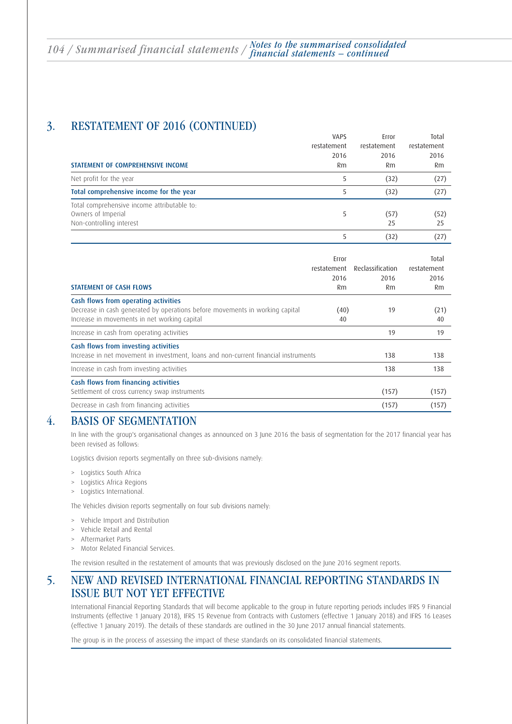### 3. RESTATEMENT OF 2016 (CONTINUED)

|                                                                                               | <b>VAPS</b><br>restatement | Error<br>restatement | Total<br>restatement |
|-----------------------------------------------------------------------------------------------|----------------------------|----------------------|----------------------|
|                                                                                               | 2016                       | 2016                 | 2016                 |
| STATEMENT OF COMPREHENSIVE INCOME                                                             | Rm                         | Rm                   | Rm                   |
| Net profit for the year                                                                       | 5                          | (32)                 | (27)                 |
| Total comprehensive income for the year                                                       | 5                          | (32)                 | (27)                 |
| Total comprehensive income attributable to:<br>Owners of Imperial<br>Non-controlling interest | 5                          | (57)<br>25           | (52)<br>25           |
|                                                                                               | 5                          | (32)                 | (27)                 |
|                                                                                               |                            |                      |                      |

| <b>STATEMENT OF CASH FLOWS</b>                                                                                                                                       | Error<br>restatement<br>2016<br>Rm | Reclassification<br>2016<br>Rm | Total<br>restatement<br>2016<br>Rm |
|----------------------------------------------------------------------------------------------------------------------------------------------------------------------|------------------------------------|--------------------------------|------------------------------------|
| Cash flows from operating activities<br>Decrease in cash generated by operations before movements in working capital<br>Increase in movements in net working capital | (40)<br>40                         | 19                             | (21)<br>40                         |
| Increase in cash from operating activities                                                                                                                           |                                    | 19                             | 19                                 |
| Cash flows from investing activities<br>Increase in net movement in investment, loans and non-current financial instruments                                          |                                    | 138                            | 138                                |
| Increase in cash from investing activities                                                                                                                           |                                    | 138                            | 138                                |
| Cash flows from financing activities<br>Settlement of cross currency swap instruments                                                                                |                                    | (157)                          | (157)                              |
| Decrease in cash from financing activities                                                                                                                           |                                    | (157)                          | (157)                              |

### 4. BASIS OF SEGMENTATION

 In line with the group's organisational changes as announced on 3 June 2016 the basis of segmentation for the 2017 financial year has been revised as follows:

Logistics division reports segmentally on three sub-divisions namely:

- > Logistics South Africa
- Logistics Africa Regions
- > Logistics International.

The Vehicles division reports segmentally on four sub divisions namely:

- > Vehicle Import and Distribution
- > Vehicle Retail and Rental
- > Aftermarket Parts
- > Motor Related Financial Services.

The revision resulted in the restatement of amounts that was previously disclosed on the June 2016 segment reports.

### 5. NEW AND REVISED INTERNATIONAL FINANCIAL REPORTING STANDARDS IN ISSUE BUT NOT YET EFFECTIVE

 International Financial Reporting Standards that will become applicable to the group in future reporting periods includes IFRS 9 Financial Instruments (effective 1 January 2018), IFRS 15 Revenue from Contracts with Customers (effective 1 January 2018) and IFRS 16 Leases (effective 1 January 2019). The details of these standards are outlined in the 30 June 2017 annual financial statements.

The group is in the process of assessing the impact of these standards on its consolidated financial statements.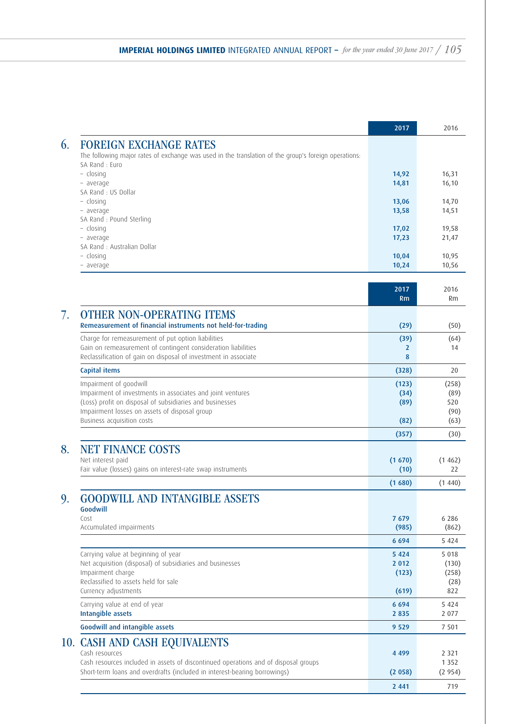|                                                                                                                                  | 2017                | 2016           |
|----------------------------------------------------------------------------------------------------------------------------------|---------------------|----------------|
| <b>FOREIGN EXCHANGE RATES</b>                                                                                                    |                     |                |
| The following major rates of exchange was used in the translation of the group's foreign operations:                             |                     |                |
| SA Rand: Euro<br>$-$ closing                                                                                                     | 14,92               | 16,31          |
| - average                                                                                                                        | 14,81               | 16, 10         |
| SA Rand : US Dollar                                                                                                              |                     |                |
| - closing                                                                                                                        | 13,06               | 14,70          |
| - average<br>SA Rand : Pound Sterling                                                                                            | 13,58               | 14,51          |
| - closing                                                                                                                        | 17,02               | 19,58          |
| - average                                                                                                                        | 17,23               | 21,47          |
| SA Rand : Australian Dollar                                                                                                      |                     |                |
| - closing<br>average                                                                                                             | 10,04<br>10,24      | 10,95<br>10,56 |
|                                                                                                                                  |                     |                |
|                                                                                                                                  | 2017                | 2016           |
|                                                                                                                                  | Rm                  | Rm             |
| <b>OTHER NON-OPERATING ITEMS</b>                                                                                                 |                     |                |
| Remeasurement of financial instruments not held-for-trading                                                                      | (29)                | (50)           |
| Charge for remeasurement of put option liabilities                                                                               | (39)                | (64)           |
| Gain on remeasurement of contingent consideration liabilities<br>Reclassification of gain on disposal of investment in associate | $\overline{2}$<br>8 | 14             |
| Capital items                                                                                                                    | (328)               | 20             |
| Impairment of goodwill                                                                                                           | (123)               | (258)          |
| Impairment of investments in associates and joint ventures                                                                       | (34)                | (89)           |
| (Loss) profit on disposal of subsidiaries and businesses                                                                         | (89)                | 520            |
| Impairment losses on assets of disposal group                                                                                    |                     | (90)           |
| Business acquisition costs                                                                                                       | (82)                | (63)           |
|                                                                                                                                  | (357)               | (30)           |
| <b>NET FINANCE COSTS</b>                                                                                                         |                     |                |
| Net interest paid                                                                                                                | (1670)              | (1462)         |
| Fair value (losses) gains on interest-rate swap instruments                                                                      | (10)                | 22             |
|                                                                                                                                  | (1680)              | (1440)         |
| <b>GOODWILL AND INTANGIBLE ASSETS</b>                                                                                            |                     |                |
| Goodwill<br>Cost                                                                                                                 | 7679                | 6 2 8 6        |
| Accumulated impairments                                                                                                          | (985)               | (862)          |
|                                                                                                                                  | 6694                | 5 4 2 4        |
| Carrying value at beginning of year                                                                                              | 5 4 2 4             | 5 0 1 8        |
| Net acquisition (disposal) of subsidiaries and businesses                                                                        | 2 0 1 2             | (130)          |
| Impairment charge                                                                                                                | (123)               | (258)          |
| Reclassified to assets held for sale<br>Currency adjustments                                                                     | (619)               | (28)<br>822    |
| Carrying value at end of year                                                                                                    | 6694                | 5 4 2 4        |
| Intangible assets                                                                                                                | 2 8 3 5             | 2 0 7 7        |
| <b>Goodwill and intangible assets</b>                                                                                            | 9 5 2 9             | 7 501          |
| <b>CASH AND CASH EQUIVALENTS</b><br>10.                                                                                          |                     |                |
| Cash resources                                                                                                                   | 4 4 9 9             | 2 3 2 1        |
| Cash resources included in assets of discontinued operations and of disposal groups                                              |                     | 1 3 5 2        |
| Short-term loans and overdrafts (included in interest-bearing borrowings)                                                        | (2058)              | (2954)         |
|                                                                                                                                  | 2 4 4 1             | 719            |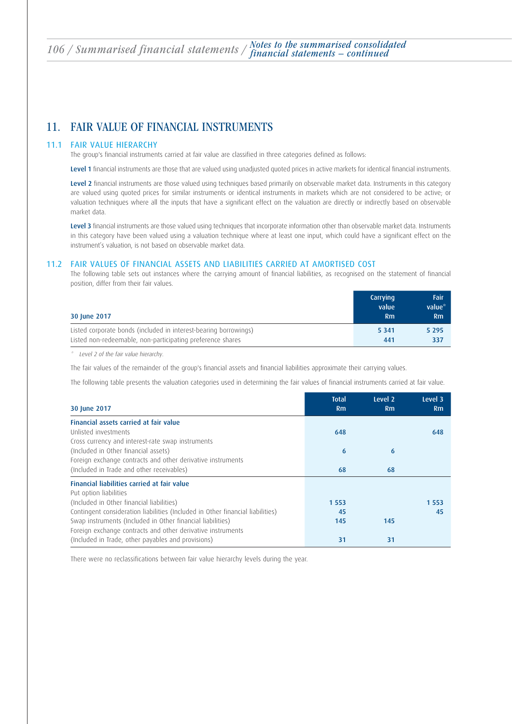### 11. FAIR VALUE OF FINANCIAL INSTRUMENTS

### 11.1 FAIR VALUE HIERARCHY

The group's financial instruments carried at fair value are classified in three categories defined as follows:

Level 1 financial instruments are those that are valued using unadjusted quoted prices in active markets for identical financial instruments.

Level 2 financial instruments are those valued using techniques based primarily on observable market data. Instruments in this category are valued using quoted prices for similar instruments or identical instruments in markets which are not considered to be active; or valuation techniques where all the inputs that have a significant effect on the valuation are directly or indirectly based on observable market data.

Level 3 financial instruments are those valued using techniques that incorporate information other than observable market data. Instruments in this category have been valued using a valuation technique where at least one input, which could have a significant effect on the instrument's valuation, is not based on observable market data.

### 11.2 FAIR VALUES OF FINANCIAL ASSETS AND LIABILITIES CARRIED AT AMORTISED COST

 The following table sets out instances where the carrying amount of financial liabilities, as recognised on the statement of financial position, differ from their fair values.

| 30 June 2017                                                     | Carrying<br>value<br>Rm | <b>Fair</b><br>value*<br>Rm |
|------------------------------------------------------------------|-------------------------|-----------------------------|
| Listed corporate bonds (included in interest-bearing borrowings) | 5 3 4 1                 | 5 2 9 5                     |
| Listed non-redeemable, non-participating preference shares       | 441                     | 337                         |

\* Level 2 of the fair value hierarchy.

The fair values of the remainder of the group's financial assets and financial liabilities approximate their carrying values.

The following table presents the valuation categories used in determining the fair values of financial instruments carried at fair value.

| 30 June 2017                                                                   | <b>Total</b><br>Rm | Level 2<br>Rm | Level 3<br>Rm |
|--------------------------------------------------------------------------------|--------------------|---------------|---------------|
| Financial assets carried at fair value                                         |                    |               |               |
| Unlisted investments                                                           | 648                |               | 648           |
| Cross currency and interest-rate swap instruments                              |                    |               |               |
| (Included in Other financial assets)                                           | 6                  | 6             |               |
| Foreign exchange contracts and other derivative instruments                    |                    |               |               |
| (Included in Trade and other receivables)                                      | 68                 | 68            |               |
| Financial liabilities carried at fair value                                    |                    |               |               |
| Put option liabilities                                                         |                    |               |               |
| (Included in Other financial liabilities)                                      | 1 5 5 3            |               | 1 5 5 3       |
| Contingent consideration liabilities (Included in Other financial liabilities) | 45                 |               | 45            |
| Swap instruments (Included in Other financial liabilities)                     | 145                | 145           |               |
| Foreign exchange contracts and other derivative instruments                    |                    |               |               |
| (Included in Trade, other payables and provisions)                             | 31                 | 31            |               |

There were no reclassifications between fair value hierarchy levels during the year.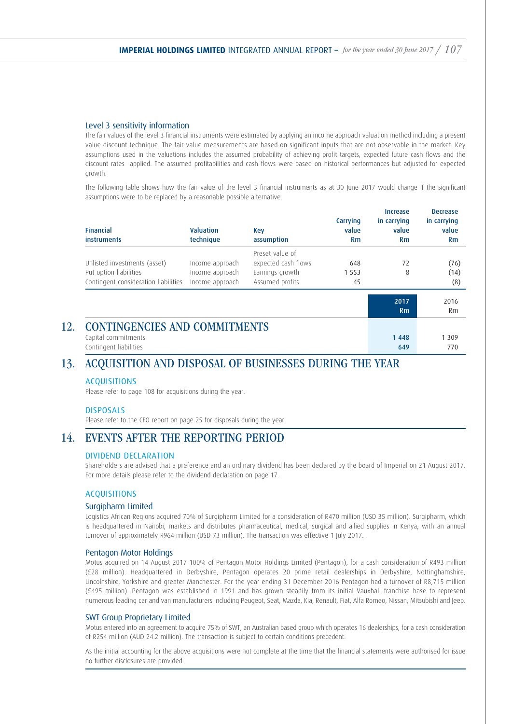### Level 3 sensitivity information

 The fair values of the level 3 financial instruments were estimated by applying an income approach valuation method including a present value discount technique. The fair value measurements are based on significant inputs that are not observable in the market. Key assumptions used in the valuations includes the assumed probability of achieving profit targets, expected future cash flows and the discount rates applied. The assumed profitabilities and cash flows were based on historical performances but adjusted for expected growth.

 The following table shows how the fair value of the level 3 financial instruments as at 30 June 2017 would change if the significant assumptions were to be replaced by a reasonable possible alternative.

| <b>Financial</b><br>instruments      | <b>Valuation</b><br>technique | Key<br>assumption   | Carrying<br>value<br><b>Rm</b> | <b>Increase</b><br>in carrying<br>value<br><b>Rm</b> | <b>Decrease</b><br>in carrying<br>value<br>Rm |
|--------------------------------------|-------------------------------|---------------------|--------------------------------|------------------------------------------------------|-----------------------------------------------|
|                                      |                               | Preset value of     |                                |                                                      |                                               |
| Unlisted investments (asset)         | Income approach               | expected cash flows | 648                            | 72                                                   | (76)                                          |
| Put option liabilities               | Income approach               | Earnings growth     | 1 5 5 3                        | 8                                                    | (14)                                          |
| Contingent consideration liabilities | Income approach               | Assumed profits     | 45                             |                                                      | (8)                                           |
|                                      |                               |                     |                                | 2017                                                 | 2016                                          |
|                                      |                               |                     |                                | Rm                                                   | Rm                                            |
| <b>CONTINGENCIES AND COMMITMENTS</b> |                               |                     |                                |                                                      |                                               |
| Capital commitments                  |                               |                     |                                | 1448                                                 | 1 3 0 9                                       |
| Contingent liabilities               |                               |                     |                                | 649                                                  | 770                                           |

### 13. ACQUISITION AND DISPOSAL OF BUSINESSES DURING THE YEAR

### ACQUISITIONS

Please refer to page 108 for acquisitions during the year.

#### DISPOSALS

Please refer to the CFO report on page 25 for disposals during the year.

### 14. EVENTS AFTER THE REPORTING PERIOD

### DIVIDEND DECLARATION

 Shareholders are advised that a preference and an ordinary dividend has been declared by the board of Imperial on 21 August 2017. For more details please refer to the dividend declaration on page 17.

### ACQUISITIONS

### Surgipharm Limited

 Logistics African Regions acquired 70% of Surgipharm Limited for a consideration of R470 million (USD 35 million). Surgipharm, which is headquartered in Nairobi, markets and distributes pharmaceutical, medical, surgical and allied supplies in Kenya, with an annual turnover of approximately R964 million (USD 73 million). The transaction was effective 1 July 2017.

#### Pentagon Motor Holdings

 Motus acquired on 14 August 2017 100% of Pentagon Motor Holdings Limited (Pentagon), for a cash consideration of R493 million (£28 million). Headquartered in Derbyshire, Pentagon operates 20 prime retail dealerships in Derbyshire, Nottinghamshire, Lincolnshire, Yorkshire and greater Manchester. For the year ending 31 December 2016 Pentagon had a turnover of R8,715 million (£495 million). Pentagon was established in 1991 and has grown steadily from its initial Vauxhall franchise base to represent numerous leading car and van manufacturers including Peugeot, Seat, Mazda, Kia, Renault, Fiat, Alfa Romeo, Nissan, Mitsubishi and Jeep.

### SWT Group Proprietary Limited

 Motus entered into an agreement to acquire 75% of SWT, an Australian based group which operates 16 dealerships, for a cash consideration of R254 million (AUD 24.2 million). The transaction is subject to certain conditions precedent.

 As the initial accounting for the above acquisitions were not complete at the time that the financial statements were authorised for issue no further disclosures are provided.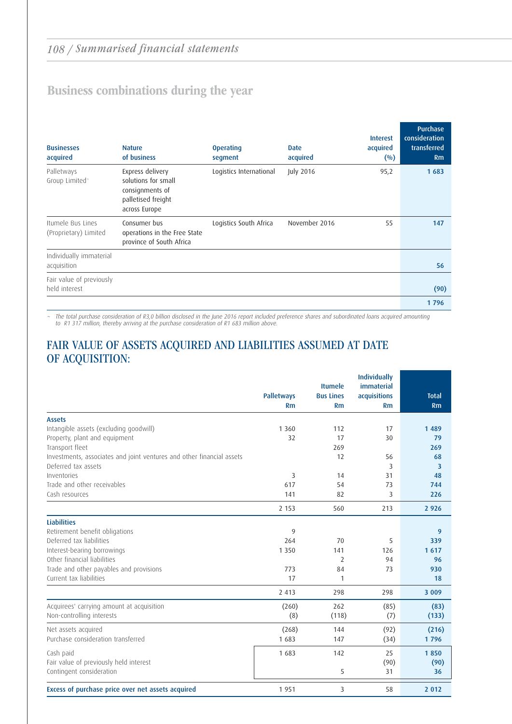## Business combinations during the year

| <b>Businesses</b><br>acquired              | <b>Nature</b><br>of business                                                                      | <b>Operating</b><br>segment | <b>Date</b><br>acquired | <b>Interest</b><br>acquired<br>$($ %) | Purchase<br>consideration<br>transferred<br>Rm |
|--------------------------------------------|---------------------------------------------------------------------------------------------------|-----------------------------|-------------------------|---------------------------------------|------------------------------------------------|
| Palletways<br>Group Limited <sup>-</sup>   | Express delivery<br>solutions for small<br>consignments of<br>palletised freight<br>across Europe | Logistics International     | July 2016               | 95,2                                  | 1683                                           |
| Itumele Bus Lines<br>(Proprietary) Limited | Consumer bus<br>operations in the Free State<br>province of South Africa                          | Logistics South Africa      | November 2016           | 55                                    | 147                                            |
| Individually immaterial<br>acquisition     |                                                                                                   |                             |                         |                                       | 56                                             |
| Fair value of previously<br>held interest  |                                                                                                   |                             |                         |                                       | (90)                                           |
|                                            |                                                                                                   |                             |                         |                                       | 1796                                           |

~ The total purchase consideration of R3,0 billion disclosed in the June 2016 report included preference shares and subordinated loans acquired amounting to R1 317 million, thereby arriving at the purchase consideration of R1 683 million above.

### FAIR VALUE OF ASSETS ACQUIRED AND LIABILITIES ASSUMED AT DATE OF ACQUISITION:

|                                                                         | <b>Palletways</b><br>Rm | <b>Itumele</b><br><b>Bus Lines</b><br>Rm | <b>Individually</b><br><i>immaterial</i><br>acquisitions<br><b>Rm</b> | <b>Total</b><br>Rm |
|-------------------------------------------------------------------------|-------------------------|------------------------------------------|-----------------------------------------------------------------------|--------------------|
|                                                                         |                         |                                          |                                                                       |                    |
| <b>Assets</b>                                                           | 1 3 6 0                 | 112                                      | 17                                                                    | 1489               |
| Intangible assets (excluding goodwill)<br>Property, plant and equipment | 32                      | 17                                       | 30                                                                    | 79                 |
| Transport fleet                                                         |                         | 269                                      |                                                                       | 269                |
| Investments, associates and joint ventures and other financial assets   |                         | 12                                       | 56                                                                    | 68                 |
| Deferred tax assets                                                     |                         |                                          | 3                                                                     | 3                  |
| Inventories                                                             | 3                       | 14                                       | 31                                                                    | 48                 |
| Trade and other receivables                                             | 617                     | 54                                       | 73                                                                    | 744                |
| Cash resources                                                          | 141                     | 82                                       | 3                                                                     | 226                |
|                                                                         | 2 1 5 3                 | 560                                      | 213                                                                   | 2 9 2 6            |
| <b>Liabilities</b>                                                      |                         |                                          |                                                                       |                    |
| Retirement benefit obligations                                          | 9                       |                                          |                                                                       | $\overline{9}$     |
| Deferred tax liabilities                                                | 264                     | 70                                       | 5                                                                     | 339                |
| Interest-bearing borrowings                                             | 1 3 5 0                 | 141                                      | 126                                                                   | 1617               |
| Other financial liabilities                                             |                         | $\overline{2}$                           | 94                                                                    | 96                 |
| Trade and other payables and provisions                                 | 773                     | 84                                       | 73                                                                    | 930                |
| Current tax liabilities                                                 | 17                      | $\mathbf{1}$                             |                                                                       | 18                 |
|                                                                         | 2 4 1 3                 | 298                                      | 298                                                                   | 3 0 0 9            |
| Acquirees' carrying amount at acquisition                               | (260)                   | 262                                      | (85)                                                                  | (83)               |
| Non-controlling interests                                               | (8)                     | (118)                                    | (7)                                                                   | (133)              |
| Net assets acquired                                                     | (268)                   | 144                                      | (92)                                                                  | (216)              |
| Purchase consideration transferred                                      | 1 683                   | 147                                      | (34)                                                                  | 1796               |
| Cash paid                                                               | 1683                    | 142                                      | 25                                                                    | 1850               |
| Fair value of previously held interest                                  |                         |                                          | (90)                                                                  | (90)               |
| Contingent consideration                                                |                         | 5                                        | 31                                                                    | 36                 |
| Excess of purchase price over net assets acquired                       | 1 9 5 1                 | 3                                        | 58                                                                    | 2 0 1 2            |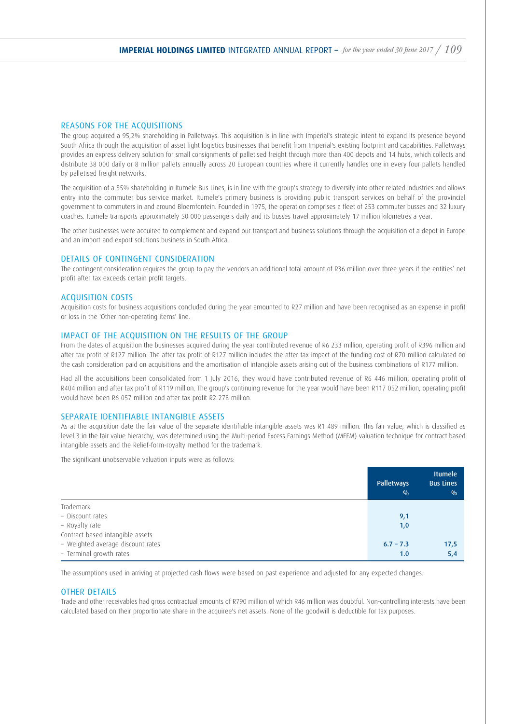### REASONS FOR THE ACQUISITIONS

The group acquired a 95,2% shareholding in Palletways. This acquisition is in line with Imperial's strategic intent to expand its presence beyond South Africa through the acquisition of asset light logistics businesses that benefit from Imperial's existing footprint and capabilities. Palletways provides an express delivery solution for small consignments of palletised freight through more than 400 depots and 14 hubs, which collects and distribute 38 000 daily or 8 million pallets annually across 20 European countries where it currently handles one in every four pallets handled by palletised freight networks.

The acquisition of a 55% shareholding in Itumele Bus Lines, is in line with the group's strategy to diversify into other related industries and allows entry into the commuter bus service market. Itumele's primary business is providing public transport services on behalf of the provincial government to commuters in and around Bloemfontein. Founded in 1975, the operation comprises a fleet of 253 commuter busses and 32 luxury coaches. Itumele transports approximately 50 000 passengers daily and its busses travel approximately 17 million kilometres a year.

The other businesses were acquired to complement and expand our transport and business solutions through the acquisition of a depot in Europe and an import and export solutions business in South Africa.

#### DETAILS OF CONTINGENT CONSIDERATION

The contingent consideration requires the group to pay the vendors an additional total amount of R36 million over three years if the entities' net profit after tax exceeds certain profit targets.

#### ACQUISITION COSTS

Acquisition costs for business acquisitions concluded during the year amounted to R27 million and have been recognised as an expense in profit or loss in the 'Other non-operating items' line.

#### IMPACT OF THE ACQUISITION ON THE RESULTS OF THE GROUP

From the dates of acquisition the businesses acquired during the year contributed revenue of R6 233 million, operating profit of R396 million and after tax profit of R127 million. The after tax profit of R127 million includes the after tax impact of the funding cost of R70 million calculated on the cash consideration paid on acquisitions and the amortisation of intangible assets arising out of the business combinations of R177 million.

Had all the acquisitions been consolidated from 1 July 2016, they would have contributed revenue of R6 446 million, operating profit of R404 million and after tax profit of R119 million. The group's continuing revenue for the year would have been R117 052 million, operating profit would have been R6 057 million and after tax profit R2 278 million.

#### SEPARATE IDENTIFIABLE INTANGIBLE ASSETS

As at the acquisition date the fair value of the separate identifiable intangible assets was R1 489 million. This fair value, which is classified as level 3 in the fair value hierarchy, was determined using the Multi-period Excess Earnings Method (MEEM) valuation technique for contract based intangible assets and the Relief-form-royalty method for the trademark.

The significant unobservable valuation inputs were as follows:

|                                   | <b>Palletways</b><br>0/0 | <b>Itumele</b><br><b>Bus Lines</b><br>0/0 |
|-----------------------------------|--------------------------|-------------------------------------------|
| Trademark                         |                          |                                           |
| - Discount rates                  | 9,1                      |                                           |
| - Royalty rate                    | 1,0                      |                                           |
| Contract based intangible assets  |                          |                                           |
| - Weighted average discount rates | $6.7 - 7.3$              | 17,5                                      |
| - Terminal growth rates           | 1.0                      | 5,4                                       |

The assumptions used in arriving at projected cash flows were based on past experience and adjusted for any expected changes.

#### OTHER DETAILS

Trade and other receivables had gross contractual amounts of R790 million of which R46 million was doubtful. Non-controlling interests have been calculated based on their proportionate share in the acquiree's net assets. None of the goodwill is deductible for tax purposes.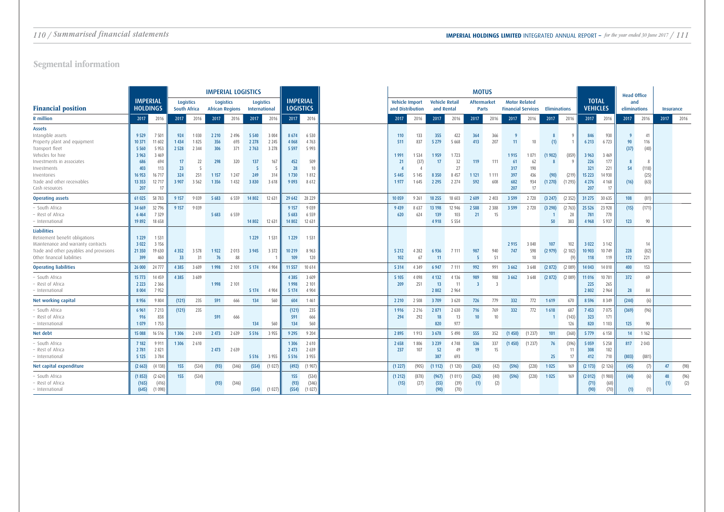|                                                                                                                                                                                                                        |                                                                                  |                                                                                 |                                                       |                                                                      | <b>IMPERIAL LOGISTICS</b>                          |                                                    |                                                           |                                                       |                                                               |                                                         | <b>MOTUS</b>                                |                                                  |                                                    |                                                          |                                     |                                     |                                                                |                                             |                                 |                          |                                                                      |                                                                 | <b>Head Office</b>              |                                            |           |             |
|------------------------------------------------------------------------------------------------------------------------------------------------------------------------------------------------------------------------|----------------------------------------------------------------------------------|---------------------------------------------------------------------------------|-------------------------------------------------------|----------------------------------------------------------------------|----------------------------------------------------|----------------------------------------------------|-----------------------------------------------------------|-------------------------------------------------------|---------------------------------------------------------------|---------------------------------------------------------|---------------------------------------------|--------------------------------------------------|----------------------------------------------------|----------------------------------------------------------|-------------------------------------|-------------------------------------|----------------------------------------------------------------|---------------------------------------------|---------------------------------|--------------------------|----------------------------------------------------------------------|-----------------------------------------------------------------|---------------------------------|--------------------------------------------|-----------|-------------|
| <b>Financial position</b>                                                                                                                                                                                              | <b>IMPERIAL</b><br><b>HOLDINGS</b>                                               |                                                                                 | <b>Logistics</b>                                      | South Africa                                                         | Logistics<br><b>African Regions</b>                |                                                    | Logistics<br><b>International</b>                         |                                                       | <b>IMPERIAL</b><br><b>LOGISTICS</b>                           |                                                         | Vehicle Import<br>and Distribution          |                                                  | <b>Vehicle Retail</b><br>and Rental                |                                                          | Aftermarket<br><b>Parts</b>         |                                     | <b>Motor Related</b><br><b>Financial Services Eliminations</b> |                                             |                                 |                          | <b>TOTAL</b><br><b>VEHICLES</b>                                      |                                                                 | and<br>eliminations             |                                            | Insurance |             |
| <b>R</b> million                                                                                                                                                                                                       | 2017                                                                             | 2016                                                                            | 2017                                                  | 2016                                                                 | 2017                                               | 2016                                               | 2017                                                      | 2016                                                  | 2017                                                          | 2016                                                    | 2017                                        | 2016                                             | 2017                                               | 2016                                                     | 2017                                | 2016                                | 2017                                                           | 2016                                        | 2017                            | 2016                     | 2017                                                                 | 2016                                                            | 2017                            | 2016                                       | 2017      | 2016        |
| <b>Assets</b><br>Intangible assets<br>Property plant and equipment<br>Transport fleet<br>Vehicles for hire<br>Investments in associates<br>Investments<br>Inventories<br>Trade and other receivables<br>Cash resources | 9 5 29<br>10 371<br>5 5 6 0<br>3 9 6 3<br>686<br>403<br>16 953<br>13 3 53<br>207 | 7 5 0 1<br>11 602<br>5 9 5 3<br>3 4 6 9<br>694<br>113<br>16 717<br>12 717<br>17 | 924<br>1 4 3 4<br>2 5 2 8<br>17<br>23<br>324<br>3 907 | 1 0 3 0<br>1825<br>2 3 4 4<br>22<br>$\overline{5}$<br>251<br>3 5 6 2 | 2 2 1 0<br>356<br>306<br>298<br>1 1 5 7<br>1 3 5 6 | 2 4 9 6<br>693<br>371<br>320<br>1 2 4 7<br>1 4 3 2 | 5 5 4 0<br>2 2 7 8<br>2 7 6 3<br>137<br>-5<br>249<br>3830 | 3 0 0 4<br>2 2 4 5<br>3 2 7 8<br>167<br>314<br>3 6 18 | 8 6 7 4<br>4 0 6 8<br>5 5 9 7<br>452<br>28<br>1730<br>9 0 9 3 | 6 5 3 0<br>4763<br>5 9 9 3<br>509<br>10<br>1812<br>8612 | 110<br>511<br>1991<br>21<br>5 4 4 5<br>1977 | 133<br>837<br>1 5 3 4<br>(37)<br>5 1 4 5<br>1645 | 355<br>5 2 7 9<br>1959<br>17<br>8 3 5 0<br>2 2 9 5 | 422<br>5 6 6 8<br>1723<br>32<br>27<br>8 4 5 7<br>2 2 7 4 | 364<br>413<br>119<br>1 1 2 1<br>592 | 366<br>207<br>111<br>1 1 1 1<br>608 | 11<br>1915<br>61<br>317<br>397<br>682<br>207                   | 10<br>1071<br>62<br>190<br>436<br>934<br>17 | (1)<br>(1902)<br>(90)<br>(1270) | (859)<br>(219)<br>(1293) | 846<br>6 2 1 3<br>3 9 6 3<br>226<br>321<br>15 2 23<br>4 2 7 6<br>207 | 930<br>6723<br>3 4 6 9<br>177<br>221<br>14 930<br>4 1 6 8<br>17 | - 9<br>90<br>(37)<br>54<br>(16) | 41<br>116<br>(40)<br>(118)<br>(25)<br>(63) |           |             |
| <b>Operating assets</b>                                                                                                                                                                                                | 61 025                                                                           | 58 783                                                                          | 9 1 5 7                                               | 9 0 3 9                                                              | 5 6 8 3                                            | 6 5 5 9                                            | 14 802                                                    | 12 631                                                | 29 642                                                        | 28 229                                                  | 10 059                                      | 9 2 6 1                                          | 18 255                                             | 18 603                                                   | 2 6 0 9                             | 2 4 0 3                             | 3 5 9 9                                                        | 2720                                        | (3 247)                         | (2352)                   | 31 275                                                               | 30 635                                                          | 108                             | (81)                                       |           |             |
| South Africa<br>Rest of Africa<br>International                                                                                                                                                                        | 34 669<br>6 4 6 4<br>19 892                                                      | 32 796<br>7 3 2 9<br>18 658                                                     | 9 1 5 7                                               | 9 0 3 9                                                              | 5 6 8 3                                            | 6 5 5 9                                            | 14 802                                                    | 12 631                                                | 9 1 5 7<br>5 6 8 3<br>14 802                                  | 9 0 3 9<br>6 5 5 9<br>12 631                            | 9 4 3 9<br>620                              | 8 6 3 7<br>624                                   | 13 198<br>139<br>4918                              | 12 946<br>103<br>5 5 5 4                                 | 2 5 8 8<br>21                       | 2 3 8 8<br>15                       | 3 5 9 9                                                        | 2720                                        | (3 298)<br>50                   | (2763)<br>28<br>383      | 25 5 26<br>781<br>4 9 6 8                                            | 23 9 28<br>770<br>5 9 3 7                                       | (15)<br>123                     | (171)<br>90                                |           |             |
| Liabilities<br>Retirement benefit obligations<br>Maintenance and warranty contracts<br>Trade and other payables and provisions<br>Other financial liabilities                                                          | 1 2 2 9<br>3 0 2 2<br>21 350<br>399                                              | 1 5 3 1<br>3 1 5 6<br>19 630<br>460                                             | 4 3 5 2<br>33                                         | 3 5 7 8<br>31                                                        | 1922<br>76                                         | 2 0 1 3<br>88                                      | 1 2 2 9<br>3 9 4 5                                        | 1 5 3 1<br>3 3 7 2                                    | 1 2 2 9<br>10 219<br>109                                      | 1 5 3 1<br>8 9 6 3<br>120                               | 5 2 1 2<br>102                              | 4 2 8 2<br>67                                    | 6 9 3 6<br>11                                      | 7 1 1 1                                                  | 987<br>-5                           | 940<br>51                           | 2 9 1 5<br>747                                                 | 3 0 4 0<br>598<br>10                        | 107<br>(2979)                   | 102<br>(2 182)<br>(9)    | 3 0 2 2<br>10 903<br>118                                             | 3 1 4 2<br>10 749<br>119                                        | 228<br>172                      | 14<br>(82)<br>221                          |           |             |
| <b>Operating liabilities</b>                                                                                                                                                                                           | 26 000                                                                           | 24 777                                                                          | 4 3 8 5                                               | 3 6 0 9                                                              | 1998                                               | 2 101                                              | 5 1 7 4                                                   | 4 9 0 4                                               | 11 557                                                        | 10 614                                                  | 5 3 1 4                                     | 4 3 4 9                                          | 6 9 4 7                                            | 7 1 1 1                                                  | 992                                 | 991                                 | 3 6 6 2                                                        | 3 6 4 8                                     | (2872)                          | (2089)                   | 14 043                                                               | 14 010                                                          | 400                             | 153                                        |           |             |
| South Africa<br>Rest of Africa<br>- International                                                                                                                                                                      | 15 773<br>2 2 2 3<br>8 0 0 4                                                     | 14 459<br>2 3 6 6<br>7952                                                       | 4 3 8 5                                               | 3 6 0 9                                                              | 1998                                               | 2 101                                              | 5 1 7 4                                                   | 4 9 0 4                                               | 4 3 8 5<br>1998<br>5 1 7 4                                    | 3 6 0 9<br>2 10 1<br>4 9 0 4                            | 5 1 0 5<br>209                              | 4 0 9 8<br>251                                   | 4 1 3 2<br>13<br>2 8 0 2                           | 4 1 3 6<br>-11<br>2 9 6 4                                | 989<br>$\overline{3}$               | 988<br>$\overline{3}$               | 3 6 6 2                                                        | 3 6 4 8                                     | (2872)                          | (2089)                   | 11 016<br>225<br>2 8 0 2                                             | 10781<br>265<br>2 9 6 4                                         | 372<br>28                       | 69<br>84                                   |           |             |
| Net working capital                                                                                                                                                                                                    | 8 9 5 6                                                                          | 9 8 0 4                                                                         | (121)                                                 | 235                                                                  | 591                                                | 666                                                | 134                                                       | 560                                                   | 604                                                           | 1 4 6 1                                                 | 2 2 1 0                                     | 2 5 0 8                                          | 3709                                               | 3 6 20                                                   | 726                                 | 779                                 | 332                                                            | 772                                         | 1619                            | 670                      | 8 5 9 6                                                              | 8 3 4 9                                                         | (244)                           | (6)                                        |           |             |
| South Africa<br>Rest of Africa<br>- International                                                                                                                                                                      | 6 9 6 1<br>916<br>1079                                                           | 7 2 1 3<br>838<br>1753                                                          | (121)                                                 | 235                                                                  | 591                                                | 666                                                | 134                                                       | 560                                                   | (121)<br>591<br>134                                           | 235<br>666<br>560                                       | 1916<br>294                                 | 2 2 1 6<br>292                                   | 2 8 7 1<br>18<br>820                               | 2 6 3 0<br>13<br>977                                     | 716<br>10 <sup>°</sup>              | 769<br>10                           | 332                                                            | 772                                         | 1618                            | 687<br>(143)<br>126      | 7453<br>323<br>820                                                   | 7075<br>171<br>1 1 0 3                                          | (369)<br>125                    | (96)<br>90                                 |           |             |
| Net debt                                                                                                                                                                                                               | 15 088                                                                           | 16 5 16                                                                         | 1 3 0 6                                               | 2 6 1 0                                                              | 2 4 7 3                                            | 2 6 3 9                                            | 5 5 1 6                                                   | 3 9 5 5                                               | 9 2 9 5                                                       | 9 2 0 4                                                 | 2895                                        | 1913                                             | 3 6 7 8                                            | 5 4 9 0                                                  | 555                                 | 352                                 | (1450)                                                         | (1237)                                      | 101                             | (368)                    | 5779                                                                 | 6 150                                                           | 14                              | 1 1 6 2                                    |           |             |
| South Africa<br>Rest of Africa<br>- International                                                                                                                                                                      | 7 1 8 2<br>2 7 8 1<br>5 1 2 5                                                    | 9 9 1 1<br>2 8 2 1<br>3784                                                      | 1 3 0 6                                               | 2 6 1 0                                                              | 2 4 7 3                                            | 2 6 3 9                                            | 5 5 1 6                                                   | 3 9 5 5                                               | 1 3 0 6<br>2 4 7 3<br>5 5 1 6                                 | 2 6 1 0<br>2 6 3 9<br>3 9 5 5                           | 2 6 5 8<br>237                              | 1806<br>107                                      | 3 2 3 9<br>52<br>387                               | 4 7 4 8<br>49<br>693                                     | 536<br>19                           | 337<br>15                           | (1450)                                                         | (1237)                                      | 76<br>25                        | (396)<br>17              | 5 0 5 9<br>308<br>412                                                | 5 2 5 8<br>182<br>710                                           | 817<br>(803)                    | 2 0 4 3<br>(881)                           |           |             |
| Net capital expenditure                                                                                                                                                                                                | (2663)                                                                           | (4138)                                                                          | 155                                                   | (534)                                                                | (93)                                               | (346)                                              | (554)                                                     | (1027                                                 | (492)                                                         | (1907)                                                  | (1 227)                                     | (905)                                            | (1112)                                             | (1120)                                                   | (263)                               | (42)                                | (596)                                                          | (228)                                       | 1025                            | 169                      | (2173)                                                               | (2126)                                                          | (45)                            | (7)                                        | 47        | (98)        |
| South Africa<br>Rest of Africa<br>- International                                                                                                                                                                      | (1853)<br>(165)<br>(645)                                                         | (2624)<br>(416)<br>(1098)                                                       | 155                                                   | (534)                                                                | (93)                                               | (346)                                              | (554)                                                     | (1027)                                                | 155<br>(93)<br>(554)                                          | (534)<br>(346)<br>(1027)                                | (1 212)<br>(15)                             | (878)<br>(27)                                    | (967)<br>(55)<br>(90)                              | (1011)<br>(39)<br>(70)                                   | (262)<br>(1)                        | (40)<br>(2)                         | (596)                                                          | (228)                                       | 1025                            | 169                      | (2 012)<br>(71)<br>(90)                                              | (1988)<br>(68)<br>(70)                                          | (44)<br>(1)                     | (6)                                        | 48        | (96)<br>(2) |

## Segmental information